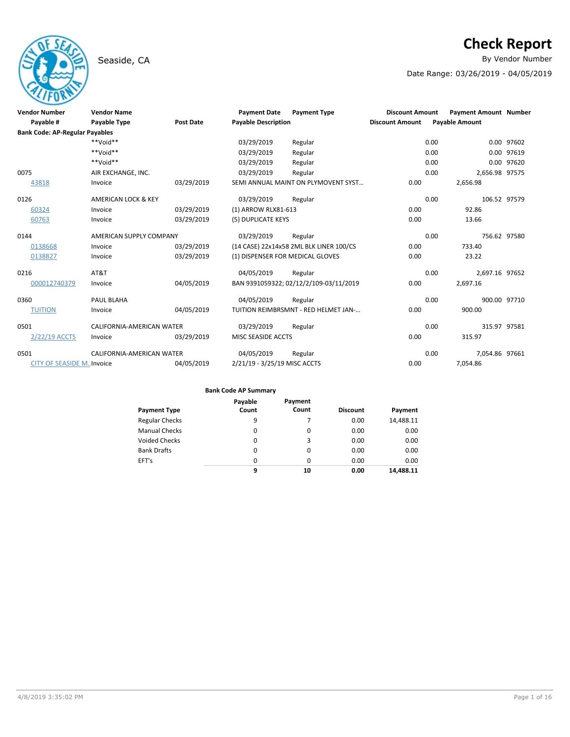# Seaside, CA **By Vendor Number**

# **Check Report**

Date Range: 03/26/2019 - 04/05/2019

| <b>Vendor Number</b>                  | <b>Vendor Name</b>             |                  | <b>Payment Date</b>              | <b>Payment Type</b>                     | <b>Discount Amount</b> | <b>Payment Amount Number</b> |            |
|---------------------------------------|--------------------------------|------------------|----------------------------------|-----------------------------------------|------------------------|------------------------------|------------|
| Payable #                             | Payable Type                   | <b>Post Date</b> | <b>Payable Description</b>       |                                         | <b>Discount Amount</b> | <b>Payable Amount</b>        |            |
| <b>Bank Code: AP-Regular Payables</b> |                                |                  |                                  |                                         |                        |                              |            |
|                                       | **Void**                       |                  | 03/29/2019                       | Regular                                 | 0.00                   |                              | 0.00 97602 |
|                                       | **Void**                       |                  | 03/29/2019                       | Regular                                 | 0.00                   |                              | 0.00 97619 |
|                                       | $**$ Noid**                    |                  | 03/29/2019                       | Regular                                 | 0.00                   |                              | 0.00 97620 |
| 0075                                  | AIR EXCHANGE, INC.             |                  | 03/29/2019                       | Regular                                 | 0.00                   | 2,656.98 97575               |            |
| 43818                                 | Invoice                        | 03/29/2019       |                                  | SEMI ANNUAL MAINT ON PLYMOVENT SYST     | 0.00                   | 2,656.98                     |            |
| 0126                                  | <b>AMERICAN LOCK &amp; KEY</b> |                  | 03/29/2019                       | Regular                                 | 0.00                   | 106.52 97579                 |            |
| 60324                                 | Invoice                        | 03/29/2019       | (1) ARROW RLX81-613              |                                         | 0.00                   | 92.86                        |            |
| 60763                                 | Invoice                        | 03/29/2019       | (5) DUPLICATE KEYS               |                                         | 0.00                   | 13.66                        |            |
| 0144                                  | AMERICAN SUPPLY COMPANY        |                  | 03/29/2019                       | Regular                                 | 0.00                   | 756.62 97580                 |            |
| 0138668                               | Invoice                        | 03/29/2019       |                                  | (14 CASE) 22x14x58 2ML BLK LINER 100/CS | 0.00                   | 733.40                       |            |
| 0138827                               | Invoice                        | 03/29/2019       | (1) DISPENSER FOR MEDICAL GLOVES |                                         | 0.00                   | 23.22                        |            |
| 0216                                  | AT&T                           |                  | 04/05/2019                       | Regular                                 | 0.00                   | 2,697.16 97652               |            |
| 000012740379                          | Invoice                        | 04/05/2019       |                                  | BAN 9391059322; 02/12/2/109-03/11/2019  | 0.00                   | 2,697.16                     |            |
| 0360                                  | PAUL BLAHA                     |                  | 04/05/2019                       | Regular                                 | 0.00                   | 900.00 97710                 |            |
| <b>TUITION</b>                        | Invoice                        | 04/05/2019       |                                  | TUITION REIMBRSMNT - RED HELMET JAN-    | 0.00                   | 900.00                       |            |
| 0501                                  | CALIFORNIA-AMERICAN WATER      |                  | 03/29/2019                       | Regular                                 | 0.00                   | 315.97 97581                 |            |
| 2/22/19 ACCTS                         | Invoice                        | 03/29/2019       | MISC SEASIDE ACCTS               |                                         | 0.00                   | 315.97                       |            |
| 0501                                  | CALIFORNIA-AMERICAN WATER      |                  | 04/05/2019                       | Regular                                 | 0.00                   | 7,054.86 97661               |            |
| <b>CITY OF SEASIDE MInvoice</b>       |                                | 04/05/2019       | 2/21/19 - 3/25/19 MISC ACCTS     |                                         | 0.00                   | 7,054.86                     |            |

### **Bank Code AP Summary**

| <b>Payment Type</b>   | Payable<br>Count | Payment<br>Count | <b>Discount</b> | Payment   |
|-----------------------|------------------|------------------|-----------------|-----------|
| <b>Regular Checks</b> | 9                |                  | 0.00            | 14,488.11 |
| <b>Manual Checks</b>  | 0                | 0                | 0.00            | 0.00      |
| <b>Voided Checks</b>  | 0                | 3                | 0.00            | 0.00      |
| <b>Bank Drafts</b>    | 0                | 0                | 0.00            | 0.00      |
| EFT's                 | $\Omega$         | $\Omega$         | 0.00            | 0.00      |
|                       | 9                | 10               | 0.00            | 14,488.11 |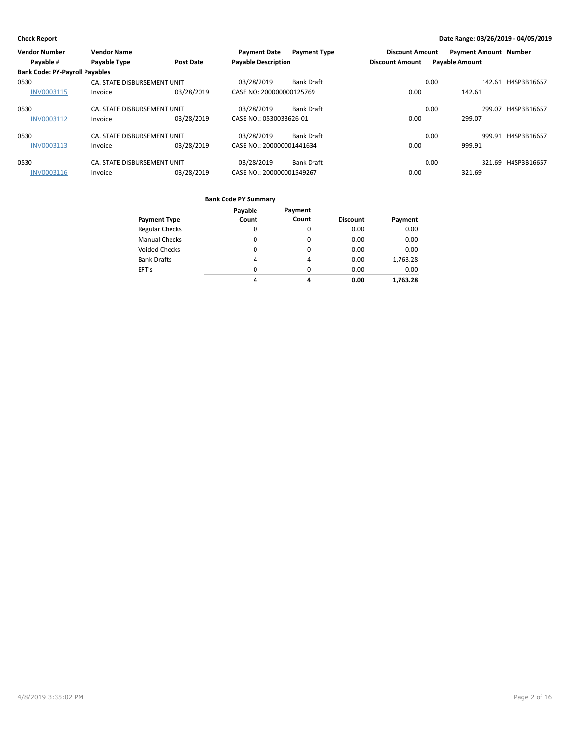| <b>Vendor Number</b>                  | <b>Vendor Name</b>          |                  | <b>Payment Date</b>        | <b>Payment Type</b> | <b>Discount Amount</b> |      | <b>Payment Amount Number</b> |                    |
|---------------------------------------|-----------------------------|------------------|----------------------------|---------------------|------------------------|------|------------------------------|--------------------|
| Payable #                             | Payable Type                | <b>Post Date</b> | <b>Payable Description</b> |                     | <b>Discount Amount</b> |      | <b>Payable Amount</b>        |                    |
| <b>Bank Code: PY-Payroll Payables</b> |                             |                  |                            |                     |                        |      |                              |                    |
| 0530                                  | CA. STATE DISBURSEMENT UNIT |                  | 03/28/2019                 | <b>Bank Draft</b>   |                        | 0.00 |                              | 142.61 H4SP3B16657 |
| <b>INV0003115</b>                     | Invoice                     | 03/28/2019       | CASE NO: 200000000125769   |                     | 0.00                   |      | 142.61                       |                    |
| 0530                                  | CA. STATE DISBURSEMENT UNIT |                  | 03/28/2019                 | <b>Bank Draft</b>   |                        | 0.00 | 299.07                       | H4SP3B16657        |
| <b>INV0003112</b>                     | Invoice                     | 03/28/2019       | CASE NO.: 0530033626-01    |                     | 0.00                   |      | 299.07                       |                    |
| 0530                                  | CA. STATE DISBURSEMENT UNIT |                  | 03/28/2019                 | <b>Bank Draft</b>   |                        | 0.00 |                              | 999.91 H4SP3B16657 |
| <b>INV0003113</b>                     | Invoice                     | 03/28/2019       | CASE NO.: 200000001441634  |                     | 0.00                   |      | 999.91                       |                    |
| 0530                                  | CA. STATE DISBURSEMENT UNIT |                  | 03/28/2019                 | <b>Bank Draft</b>   |                        | 0.00 |                              | 321.69 H4SP3B16657 |
| INV0003116                            | Invoice                     | 03/28/2019       | CASE NO.: 200000001549267  |                     | 0.00                   |      | 321.69                       |                    |

### **Bank Code PY Summary**

|                       | Payable  | Payment        |                 |          |
|-----------------------|----------|----------------|-----------------|----------|
| <b>Payment Type</b>   | Count    | Count          | <b>Discount</b> | Payment  |
| <b>Regular Checks</b> | 0        | $\Omega$       | 0.00            | 0.00     |
| <b>Manual Checks</b>  | 0        | 0              | 0.00            | 0.00     |
| <b>Voided Checks</b>  | $\Omega$ | $\Omega$       | 0.00            | 0.00     |
| <b>Bank Drafts</b>    | 4        | $\overline{4}$ | 0.00            | 1,763.28 |
| EFT's                 | $\Omega$ | $\Omega$       | 0.00            | 0.00     |
|                       | 4        | 4              | 0.00            | 1,763.28 |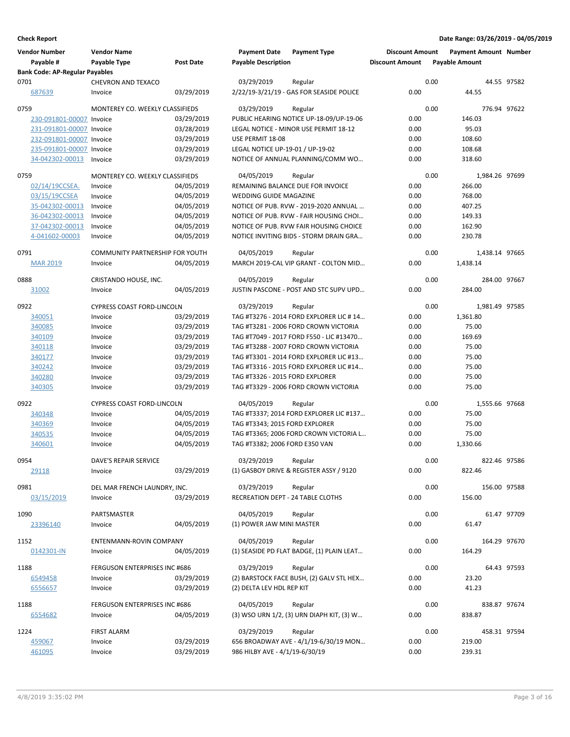| <b>Vendor Number</b>                  | <b>Vendor Name</b>                |                  | <b>Payment Date</b>              | <b>Payment Type</b>                       | <b>Discount Amount</b> |      | <b>Payment Amount Number</b> |             |
|---------------------------------------|-----------------------------------|------------------|----------------------------------|-------------------------------------------|------------------------|------|------------------------------|-------------|
| Payable #                             | Payable Type                      | <b>Post Date</b> | <b>Payable Description</b>       |                                           | <b>Discount Amount</b> |      | <b>Payable Amount</b>        |             |
| <b>Bank Code: AP-Regular Payables</b> |                                   |                  |                                  |                                           |                        |      |                              |             |
| 0701                                  | CHEVRON AND TEXACO                |                  | 03/29/2019                       | Regular                                   |                        | 0.00 |                              | 44.55 97582 |
| 687639                                | Invoice                           | 03/29/2019       |                                  | 2/22/19-3/21/19 - GAS FOR SEASIDE POLICE  | 0.00                   |      | 44.55                        |             |
| 0759                                  | MONTEREY CO. WEEKLY CLASSIFIEDS   |                  | 03/29/2019                       | Regular                                   |                        | 0.00 | 776.94 97622                 |             |
| 230-091801-00007 Invoice              |                                   | 03/29/2019       |                                  | PUBLIC HEARING NOTICE UP-18-09/UP-19-06   | 0.00                   |      | 146.03                       |             |
| 231-091801-00007 Invoice              |                                   | 03/28/2019       |                                  | LEGAL NOTICE - MINOR USE PERMIT 18-12     | 0.00                   |      | 95.03                        |             |
| 232-091801-00007 Invoice              |                                   | 03/29/2019       | USE PERMIT 18-08                 |                                           | 0.00                   |      | 108.60                       |             |
| 235-091801-00007 Invoice              |                                   | 03/29/2019       | LEGAL NOTICE UP-19-01 / UP-19-02 |                                           | 0.00                   |      | 108.68                       |             |
| 34-042302-00013                       | Invoice                           | 03/29/2019       |                                  | NOTICE OF ANNUAL PLANNING/COMM WO         | 0.00                   |      | 318.60                       |             |
| 0759                                  | MONTEREY CO. WEEKLY CLASSIFIEDS   |                  | 04/05/2019                       | Regular                                   |                        | 0.00 | 1,984.26 97699               |             |
| 02/14/19CCSEA.                        | Invoice                           | 04/05/2019       |                                  | REMAINING BALANCE DUE FOR INVOICE         | 0.00                   |      | 266.00                       |             |
| 03/15/19CCSEA                         | Invoice                           | 04/05/2019       | WEDDING GUIDE MAGAZINE           |                                           | 0.00                   |      | 768.00                       |             |
| 35-042302-00013                       | Invoice                           | 04/05/2019       |                                  | NOTICE OF PUB. RVW - 2019-2020 ANNUAL     | 0.00                   |      | 407.25                       |             |
| 36-042302-00013                       | Invoice                           | 04/05/2019       |                                  | NOTICE OF PUB. RVW - FAIR HOUSING CHOI    | 0.00                   |      | 149.33                       |             |
| 37-042302-00013                       | Invoice                           | 04/05/2019       |                                  | NOTICE OF PUB. RVW FAIR HOUSING CHOICE    | 0.00                   |      | 162.90                       |             |
| 4-041602-00003                        | Invoice                           | 04/05/2019       |                                  | NOTICE INVITING BIDS - STORM DRAIN GRA    | 0.00                   |      | 230.78                       |             |
| 0791                                  | COMMUNITY PARTNERSHIP FOR YOUTH   |                  | 04/05/2019                       | Regular                                   |                        | 0.00 | 1,438.14 97665               |             |
| <b>MAR 2019</b>                       | Invoice                           | 04/05/2019       |                                  | MARCH 2019-CAL VIP GRANT - COLTON MID     | 0.00                   |      | 1,438.14                     |             |
| 0888                                  | CRISTANDO HOUSE, INC.             |                  | 04/05/2019                       | Regular                                   |                        | 0.00 | 284.00 97667                 |             |
| 31002                                 | Invoice                           | 04/05/2019       |                                  | JUSTIN PASCONE - POST AND STC SUPV UPD    | 0.00                   |      | 284.00                       |             |
| 0922                                  | <b>CYPRESS COAST FORD-LINCOLN</b> |                  | 03/29/2019                       | Regular                                   |                        | 0.00 | 1,981.49 97585               |             |
| 340051                                | Invoice                           | 03/29/2019       |                                  | TAG #T3276 - 2014 FORD EXPLORER LIC # 14  | 0.00                   |      | 1,361.80                     |             |
| 340085                                | Invoice                           | 03/29/2019       |                                  | TAG #T3281 - 2006 FORD CROWN VICTORIA     | 0.00                   |      | 75.00                        |             |
|                                       |                                   | 03/29/2019       |                                  | TAG #T7049 - 2017 FORD F550 - LIC #13470  | 0.00                   |      | 169.69                       |             |
| 340109                                | Invoice                           |                  |                                  |                                           |                        |      |                              |             |
| 340118                                | Invoice                           | 03/29/2019       |                                  | TAG #T3288 - 2007 FORD CROWN VICTORIA     | 0.00                   |      | 75.00                        |             |
| 340177                                | Invoice                           | 03/29/2019       |                                  | TAG #T3301 - 2014 FORD EXPLORER LIC #13   | 0.00                   |      | 75.00                        |             |
| 340242                                | Invoice                           | 03/29/2019       |                                  | TAG #T3316 - 2015 FORD EXPLORER LIC #14   | 0.00                   |      | 75.00                        |             |
| 340280                                | Invoice                           | 03/29/2019       | TAG #T3326 - 2015 FORD EXPLORER  |                                           | 0.00                   |      | 75.00                        |             |
| 340305                                | Invoice                           | 03/29/2019       |                                  | TAG #T3329 - 2006 FORD CROWN VICTORIA     | 0.00                   |      | 75.00                        |             |
| 0922                                  | <b>CYPRESS COAST FORD-LINCOLN</b> |                  | 04/05/2019                       | Regular                                   |                        | 0.00 | 1,555.66 97668               |             |
| 340348                                | Invoice                           | 04/05/2019       |                                  | TAG #T3337; 2014 FORD EXPLORER LIC #137   | 0.00                   |      | 75.00                        |             |
| 340369                                | Invoice                           | 04/05/2019       | TAG #T3343; 2015 FORD EXPLORER   |                                           | 0.00                   |      | 75.00                        |             |
| 340535                                | Invoice                           | 04/05/2019       |                                  | TAG #T3365; 2006 FORD CROWN VICTORIA L    | 0.00                   |      | 75.00                        |             |
| 340601                                | Invoice                           | 04/05/2019       | TAG #T3382; 2006 FORD E350 VAN   |                                           | 0.00                   |      | 1,330.66                     |             |
| 0954                                  | DAVE'S REPAIR SERVICE             |                  | 03/29/2019                       | Regular                                   |                        | 0.00 | 822.46 97586                 |             |
| <u>29118</u>                          | Invoice                           | 03/29/2019       |                                  | (1) GASBOY DRIVE & REGISTER ASSY / 9120   | 0.00                   |      | 822.46                       |             |
| 0981                                  | DEL MAR FRENCH LAUNDRY, INC.      |                  | 03/29/2019                       | Regular                                   |                        | 0.00 | 156.00 97588                 |             |
| 03/15/2019                            | Invoice                           | 03/29/2019       |                                  | RECREATION DEPT - 24 TABLE CLOTHS         | 0.00                   |      | 156.00                       |             |
| 1090                                  | PARTSMASTER                       |                  | 04/05/2019                       | Regular                                   |                        | 0.00 |                              | 61.47 97709 |
| 23396140                              | Invoice                           | 04/05/2019       | (1) POWER JAW MINI MASTER        |                                           | 0.00                   |      | 61.47                        |             |
|                                       |                                   |                  |                                  |                                           |                        |      |                              |             |
| 1152                                  | ENTENMANN-ROVIN COMPANY           |                  | 04/05/2019                       | Regular                                   |                        | 0.00 | 164.29 97670                 |             |
| 0142301-IN                            | Invoice                           | 04/05/2019       |                                  | (1) SEASIDE PD FLAT BADGE, (1) PLAIN LEAT | 0.00                   |      | 164.29                       |             |
| 1188                                  | FERGUSON ENTERPRISES INC #686     |                  | 03/29/2019                       | Regular                                   |                        | 0.00 |                              | 64.43 97593 |
| 6549458                               | Invoice                           | 03/29/2019       |                                  | (2) BARSTOCK FACE BUSH, (2) GALV STL HEX  | 0.00                   |      | 23.20                        |             |
| 6556657                               | Invoice                           | 03/29/2019       | (2) DELTA LEV HDL REP KIT        |                                           | 0.00                   |      | 41.23                        |             |
| 1188                                  | FERGUSON ENTERPRISES INC #686     |                  | 04/05/2019                       | Regular                                   |                        | 0.00 | 838.87 97674                 |             |
| 6554682                               | Invoice                           | 04/05/2019       |                                  | (3) WSO URN 1/2, (3) URN DIAPH KIT, (3) W | 0.00                   |      | 838.87                       |             |
| 1224                                  | <b>FIRST ALARM</b>                |                  | 03/29/2019                       | Regular                                   |                        | 0.00 | 458.31 97594                 |             |
| 459067                                | Invoice                           | 03/29/2019       |                                  | 656 BROADWAY AVE - 4/1/19-6/30/19 MON     | 0.00                   |      | 219.00                       |             |
| 461095                                | Invoice                           | 03/29/2019       | 986 HILBY AVE - 4/1/19-6/30/19   |                                           | 0.00                   |      | 239.31                       |             |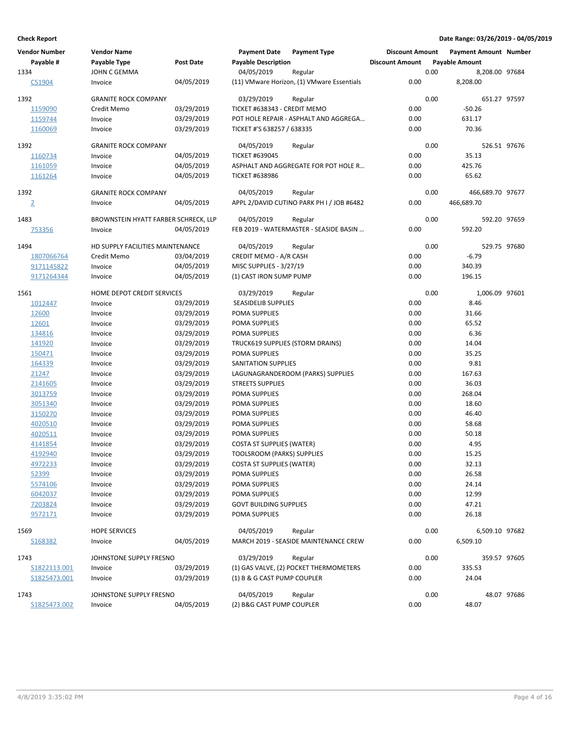| <b>Vendor Number</b> | <b>Vendor Name</b>                   |                          | <b>Payment Date</b>                            | <b>Payment Type</b>                        | <b>Discount Amount</b> |      | <b>Payment Amount Number</b> |              |
|----------------------|--------------------------------------|--------------------------|------------------------------------------------|--------------------------------------------|------------------------|------|------------------------------|--------------|
| Payable #            | Payable Type                         | <b>Post Date</b>         | <b>Payable Description</b>                     |                                            | <b>Discount Amount</b> |      | <b>Payable Amount</b>        |              |
| 1334                 | JOHN C GEMMA                         |                          | 04/05/2019                                     | Regular                                    |                        | 0.00 | 8,208.00 97684               |              |
| CS1904               | Invoice                              | 04/05/2019               |                                                | (11) VMware Horizon, (1) VMware Essentials | 0.00                   |      | 8,208.00                     |              |
| 1392                 | <b>GRANITE ROCK COMPANY</b>          |                          | 03/29/2019                                     | Regular                                    |                        | 0.00 |                              | 651.27 97597 |
| 1159090              | Credit Memo                          | 03/29/2019               | TICKET #638343 - CREDIT MEMO                   |                                            | 0.00                   |      | $-50.26$                     |              |
| 1159744              | Invoice                              | 03/29/2019               |                                                | POT HOLE REPAIR - ASPHALT AND AGGREGA      | 0.00                   |      | 631.17                       |              |
| 1160069              | Invoice                              | 03/29/2019               | TICKET #'S 638257 / 638335                     |                                            | 0.00                   |      | 70.36                        |              |
| 1392                 | <b>GRANITE ROCK COMPANY</b>          |                          | 04/05/2019                                     | Regular                                    |                        | 0.00 |                              | 526.51 97676 |
| 1160734              | Invoice                              | 04/05/2019               | <b>TICKET #639045</b>                          |                                            | 0.00                   |      | 35.13                        |              |
| 1161059              | Invoice                              | 04/05/2019               |                                                | ASPHALT AND AGGREGATE FOR POT HOLE R       | 0.00                   |      | 425.76                       |              |
| 1161264              | Invoice                              | 04/05/2019               | <b>TICKET #638986</b>                          |                                            | 0.00                   |      | 65.62                        |              |
| 1392                 | <b>GRANITE ROCK COMPANY</b>          |                          | 04/05/2019                                     | Regular                                    |                        | 0.00 | 466,689.70 97677             |              |
| $\overline{2}$       | Invoice                              | 04/05/2019               |                                                | APPL 2/DAVID CUTINO PARK PH I / JOB #6482  | 0.00                   |      | 466,689.70                   |              |
| 1483                 | BROWNSTEIN HYATT FARBER SCHRECK, LLP |                          | 04/05/2019                                     | Regular                                    |                        | 0.00 | 592.20 97659                 |              |
| 753356               | Invoice                              | 04/05/2019               |                                                | FEB 2019 - WATERMASTER - SEASIDE BASIN     | 0.00                   |      | 592.20                       |              |
| 1494                 | HD SUPPLY FACILITIES MAINTENANCE     |                          | 04/05/2019                                     | Regular                                    |                        | 0.00 |                              | 529.75 97680 |
| 1807066764           | Credit Memo                          | 03/04/2019               | CREDIT MEMO - A/R CASH                         |                                            | 0.00                   |      | $-6.79$                      |              |
| 9171145822           | Invoice                              | 04/05/2019               | MISC SUPPLIES - 3/27/19                        |                                            | 0.00                   |      | 340.39                       |              |
| 9171264344           | Invoice                              | 04/05/2019               | (1) CAST IRON SUMP PUMP                        |                                            | 0.00                   |      | 196.15                       |              |
| 1561                 | HOME DEPOT CREDIT SERVICES           |                          | 03/29/2019                                     | Regular                                    |                        | 0.00 | 1,006.09 97601               |              |
| 1012447              | Invoice                              | 03/29/2019               | <b>SEASIDELIB SUPPLIES</b>                     |                                            | 0.00                   |      | 8.46                         |              |
| 12600                | Invoice                              | 03/29/2019               | POMA SUPPLIES                                  |                                            | 0.00                   |      | 31.66                        |              |
| 12601                | Invoice                              | 03/29/2019               | POMA SUPPLIES                                  |                                            | 0.00                   |      | 65.52                        |              |
| 134816               | Invoice                              | 03/29/2019               | POMA SUPPLIES                                  |                                            | 0.00                   |      | 6.36                         |              |
| 141920               | Invoice                              | 03/29/2019               | TRUCK619 SUPPLIES (STORM DRAINS)               |                                            | 0.00                   |      | 14.04                        |              |
| 150471               | Invoice                              | 03/29/2019               | POMA SUPPLIES                                  |                                            | 0.00                   |      | 35.25                        |              |
| 164339               | Invoice                              | 03/29/2019               | SANITATION SUPPLIES                            |                                            | 0.00                   |      | 9.81                         |              |
| 21247                | Invoice                              | 03/29/2019               |                                                | LAGUNAGRANDEROOM (PARKS) SUPPLIES          | 0.00                   |      | 167.63                       |              |
| 2141605              | Invoice                              | 03/29/2019               | <b>STREETS SUPPLIES</b>                        |                                            | 0.00                   |      | 36.03                        |              |
| 3013759              | Invoice                              | 03/29/2019               | POMA SUPPLIES                                  |                                            | 0.00                   |      | 268.04                       |              |
| 3051340              | Invoice                              | 03/29/2019               | POMA SUPPLIES                                  |                                            | 0.00                   |      | 18.60                        |              |
| 3150270              | Invoice                              | 03/29/2019               | POMA SUPPLIES                                  |                                            | 0.00                   |      | 46.40                        |              |
| 4020510              | Invoice                              | 03/29/2019               | POMA SUPPLIES                                  |                                            | 0.00                   |      | 58.68                        |              |
| 4020511              | Invoice                              | 03/29/2019               | POMA SUPPLIES                                  |                                            | 0.00                   |      | 50.18                        |              |
| 4141854              | Invoice                              | 03/29/2019               | <b>COSTA ST SUPPLIES (WATER)</b>               |                                            | 0.00                   |      | 4.95                         |              |
| 4192940              | Invoice                              | 03/29/2019               | <b>TOOLSROOM (PARKS) SUPPLIES</b>              |                                            | 0.00                   |      | 15.25                        |              |
| 4972233              | Invoice                              | 03/29/2019               | <b>COSTA ST SUPPLIES (WATER)</b>               |                                            | 0.00                   |      | 32.13                        |              |
| 52399                | Invoice                              | 03/29/2019<br>03/29/2019 | POMA SUPPLIES                                  |                                            | 0.00                   |      | 26.58                        |              |
| 5574106              | Invoice                              | 03/29/2019               | POMA SUPPLIES                                  |                                            | 0.00                   |      | 24.14                        |              |
| 6042037              | Invoice                              |                          | POMA SUPPLIES                                  |                                            | 0.00                   |      | 12.99                        |              |
| 7203824<br>9572171   | Invoice<br>Invoice                   | 03/29/2019<br>03/29/2019 | <b>GOVT BUILDING SUPPLIES</b><br>POMA SUPPLIES |                                            | 0.00<br>0.00           |      | 47.21<br>26.18               |              |
|                      |                                      |                          |                                                |                                            |                        |      |                              |              |
| 1569                 | <b>HOPE SERVICES</b>                 |                          | 04/05/2019                                     | Regular                                    |                        | 0.00 | 6,509.10 97682               |              |
| S168382              | Invoice                              | 04/05/2019               |                                                | MARCH 2019 - SEASIDE MAINTENANCE CREW      | 0.00                   |      | 6,509.10                     |              |
| 1743                 | JOHNSTONE SUPPLY FRESNO              |                          | 03/29/2019                                     | Regular                                    |                        | 0.00 |                              | 359.57 97605 |
| S1822113.001         | Invoice                              | 03/29/2019               |                                                | (1) GAS VALVE, (2) POCKET THERMOMETERS     | 0.00                   |      | 335.53                       |              |
| S1825473.001         | Invoice                              | 03/29/2019               | (1) B & G CAST PUMP COUPLER                    |                                            | 0.00                   |      | 24.04                        |              |
| 1743                 | JOHNSTONE SUPPLY FRESNO              |                          | 04/05/2019                                     | Regular                                    |                        | 0.00 |                              | 48.07 97686  |
| S1825473.002         | Invoice                              | 04/05/2019               | (2) B&G CAST PUMP COUPLER                      |                                            | 0.00                   |      | 48.07                        |              |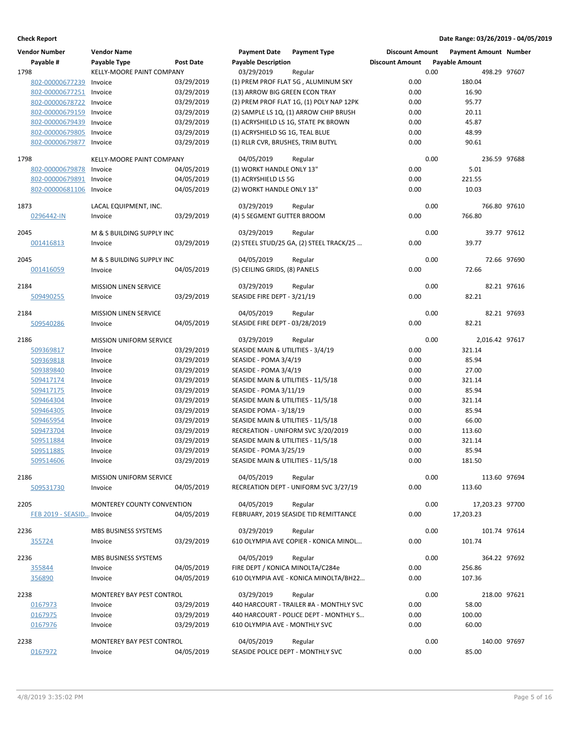| <b>Vendor Number</b>              | <b>Vendor Name</b>             |                  | <b>Payment Date</b>                | <b>Payment Type</b>                              | <b>Discount Amount</b> |      | <b>Payment Amount Number</b> |             |
|-----------------------------------|--------------------------------|------------------|------------------------------------|--------------------------------------------------|------------------------|------|------------------------------|-------------|
| Payable #                         | Payable Type                   | <b>Post Date</b> | <b>Payable Description</b>         |                                                  | <b>Discount Amount</b> |      | <b>Payable Amount</b>        |             |
| 1798                              | KELLY-MOORE PAINT COMPANY      |                  | 03/29/2019                         | Regular                                          |                        | 0.00 | 498.29 97607                 |             |
| 802-00000677239                   | Invoice                        | 03/29/2019       |                                    | (1) PREM PROF FLAT 5G, ALUMINUM SKY              | 0.00                   |      | 180.04                       |             |
| 802-00000677251                   | Invoice                        | 03/29/2019       | (13) ARROW BIG GREEN ECON TRAY     |                                                  | 0.00                   |      | 16.90                        |             |
| 802-00000678722                   | Invoice                        | 03/29/2019       |                                    | (2) PREM PROF FLAT 1G, (1) POLY NAP 12PK         | 0.00                   |      | 95.77                        |             |
| 802-00000679159                   | Invoice                        | 03/29/2019       |                                    | (2) SAMPLE LS 1Q, (1) ARROW CHIP BRUSH           | 0.00                   |      | 20.11                        |             |
| 802-00000679439                   | Invoice                        | 03/29/2019       |                                    | (1) ACRYSHIELD LS 1G, STATE PK BROWN             | 0.00                   |      | 45.87                        |             |
| 802-00000679805                   | Invoice                        | 03/29/2019       | (1) ACRYSHIELD SG 1G, TEAL BLUE    |                                                  | 0.00                   |      | 48.99                        |             |
| 802-00000679877                   | Invoice                        | 03/29/2019       | (1) RLLR CVR, BRUSHES, TRIM BUTYL  |                                                  | 0.00                   |      | 90.61                        |             |
| 1798                              | KELLY-MOORE PAINT COMPANY      |                  | 04/05/2019                         | Regular                                          |                        | 0.00 | 236.59 97688                 |             |
| 802-00000679878                   | Invoice                        | 04/05/2019       | (1) WORKT HANDLE ONLY 13"          |                                                  | 0.00                   |      | 5.01                         |             |
| 802-00000679891                   | Invoice                        | 04/05/2019       | (1) ACRYSHIELD LS 5G               |                                                  | 0.00                   |      | 221.55                       |             |
| 802-00000681106                   | Invoice                        | 04/05/2019       | (2) WORKT HANDLE ONLY 13"          |                                                  | 0.00                   |      | 10.03                        |             |
| 1873                              | LACAL EQUIPMENT, INC.          |                  | 03/29/2019                         | Regular                                          |                        | 0.00 | 766.80 97610                 |             |
| 0296442-IN                        | Invoice                        | 03/29/2019       | (4) 5 SEGMENT GUTTER BROOM         |                                                  | 0.00                   |      | 766.80                       |             |
| 2045                              | M & S BUILDING SUPPLY INC      |                  | 03/29/2019                         | Regular                                          |                        | 0.00 |                              | 39.77 97612 |
| 001416813                         | Invoice                        | 03/29/2019       |                                    | (2) STEEL STUD/25 GA, (2) STEEL TRACK/25         | 0.00                   |      | 39.77                        |             |
| 2045                              | M & S BUILDING SUPPLY INC      |                  |                                    |                                                  |                        |      |                              | 72.66 97690 |
|                                   |                                | 04/05/2019       | 04/05/2019                         | Regular                                          | 0.00                   | 0.00 |                              |             |
| 001416059                         | Invoice                        |                  | (5) CEILING GRIDS, (8) PANELS      |                                                  |                        |      | 72.66                        |             |
| 2184                              | <b>MISSION LINEN SERVICE</b>   |                  | 03/29/2019                         | Regular                                          |                        | 0.00 |                              | 82.21 97616 |
| 509490255                         | Invoice                        | 03/29/2019       | SEASIDE FIRE DEPT - 3/21/19        |                                                  | 0.00                   |      | 82.21                        |             |
|                                   |                                |                  |                                    |                                                  |                        |      |                              |             |
| 2184                              | MISSION LINEN SERVICE          |                  | 04/05/2019                         | Regular                                          |                        | 0.00 |                              | 82.21 97693 |
| 509540286                         | Invoice                        | 04/05/2019       | SEASIDE FIRE DEPT - 03/28/2019     |                                                  | 0.00                   |      | 82.21                        |             |
| 2186                              | <b>MISSION UNIFORM SERVICE</b> |                  | 03/29/2019                         | Regular                                          |                        | 0.00 | 2,016.42 97617               |             |
| 509369817                         | Invoice                        | 03/29/2019       | SEASIDE MAIN & UTILITIES - 3/4/19  |                                                  | 0.00                   |      | 321.14                       |             |
| 509369818                         | Invoice                        | 03/29/2019       | SEASIDE - POMA 3/4/19              |                                                  | 0.00                   |      | 85.94                        |             |
| 509389840                         | Invoice                        | 03/29/2019       | SEASIDE - POMA 3/4/19              |                                                  | 0.00                   |      | 27.00                        |             |
| 509417174                         | Invoice                        | 03/29/2019       | SEASIDE MAIN & UTILITIES - 11/5/18 |                                                  | 0.00                   |      | 321.14                       |             |
| 509417175                         | Invoice                        | 03/29/2019       | SEASIDE - POMA 3/11/19             |                                                  | 0.00                   |      | 85.94                        |             |
| 509464304                         | Invoice                        | 03/29/2019       | SEASIDE MAIN & UTILITIES - 11/5/18 |                                                  | 0.00                   |      | 321.14                       |             |
| 509464305                         | Invoice                        | 03/29/2019       | SEASIDE POMA - 3/18/19             |                                                  | 0.00                   |      | 85.94                        |             |
| 509465954                         | Invoice                        | 03/29/2019       | SEASIDE MAIN & UTILITIES - 11/5/18 |                                                  | 0.00                   |      | 66.00                        |             |
| 509473704                         | Invoice                        | 03/29/2019       |                                    | RECREATION - UNIFORM SVC 3/20/2019               | 0.00                   |      | 113.60                       |             |
| 509511884                         | Invoice                        | 03/29/2019       | SEASIDE MAIN & UTILITIES - 11/5/18 |                                                  | 0.00                   |      | 321.14                       |             |
| 509511885                         | Invoice                        | 03/29/2019       | SEASIDE - POMA 3/25/19             |                                                  | 0.00                   |      | 85.94                        |             |
| 509514606                         | Invoice                        | 03/29/2019       | SEASIDE MAIN & UTILITIES - 11/5/18 |                                                  | 0.00                   |      | 181.50                       |             |
| 2186                              | MISSION UNIFORM SERVICE        |                  | 04/05/2019                         | Regular                                          |                        | 0.00 | 113.60 97694                 |             |
| 509531730                         | Invoice                        | 04/05/2019       |                                    | RECREATION DEPT - UNIFORM SVC 3/27/19            | 0.00                   |      | 113.60                       |             |
|                                   |                                |                  | 04/05/2019                         |                                                  |                        |      |                              |             |
| 2205<br>FEB 2019 - SEASID Invoice | MONTEREY COUNTY CONVENTION     | 04/05/2019       |                                    | Regular<br>FEBRUARY, 2019 SEASIDE TID REMITTANCE | 0.00                   | 0.00 | 17,203.23 97700<br>17,203.23 |             |
|                                   |                                |                  |                                    |                                                  |                        |      |                              |             |
| 2236                              | MBS BUSINESS SYSTEMS           |                  | 03/29/2019                         | Regular                                          |                        | 0.00 | 101.74 97614                 |             |
| 355724                            | Invoice                        | 03/29/2019       |                                    | 610 OLYMPIA AVE COPIER - KONICA MINOL            | 0.00                   |      | 101.74                       |             |
| 2236                              | MBS BUSINESS SYSTEMS           |                  | 04/05/2019                         | Regular                                          |                        | 0.00 | 364.22 97692                 |             |
| 355844                            | Invoice                        | 04/05/2019       | FIRE DEPT / KONICA MINOLTA/C284e   |                                                  | 0.00                   |      | 256.86                       |             |
| 356890                            | Invoice                        | 04/05/2019       |                                    | 610 OLYMPIA AVE - KONICA MINOLTA/BH22            | 0.00                   |      | 107.36                       |             |
| 2238                              | MONTEREY BAY PEST CONTROL      |                  | 03/29/2019                         | Regular                                          |                        | 0.00 | 218.00 97621                 |             |
| 0167973                           | Invoice                        | 03/29/2019       |                                    | 440 HARCOURT - TRAILER #A - MONTHLY SVC          | 0.00                   |      | 58.00                        |             |
| 0167975                           | Invoice                        | 03/29/2019       |                                    | 440 HARCOURT - POLICE DEPT - MONTHLY S           | 0.00                   |      | 100.00                       |             |
| 0167976                           | Invoice                        | 03/29/2019       | 610 OLYMPIA AVE - MONTHLY SVC      |                                                  | 0.00                   |      | 60.00                        |             |
|                                   |                                |                  |                                    |                                                  |                        |      |                              |             |
| 2238                              | MONTEREY BAY PEST CONTROL      |                  | 04/05/2019                         | Regular                                          |                        | 0.00 | 140.00 97697                 |             |
| 0167972                           | Invoice                        | 04/05/2019       | SEASIDE POLICE DEPT - MONTHLY SVC  |                                                  | 0.00                   |      | 85.00                        |             |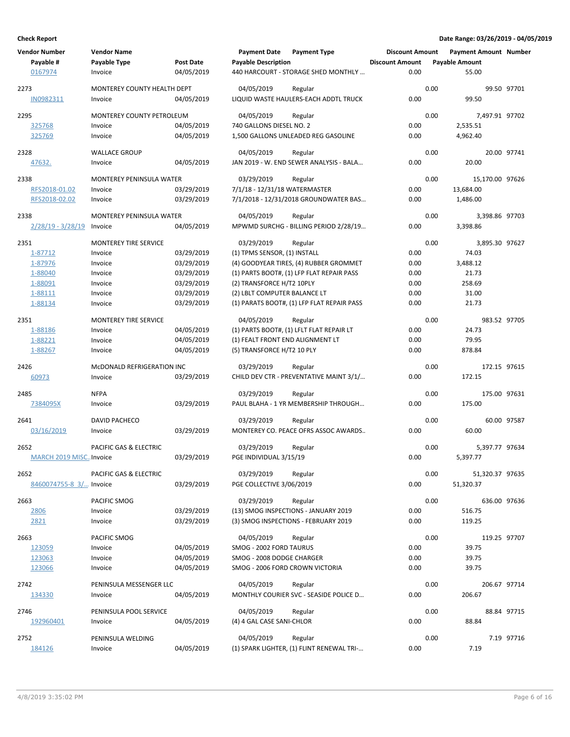| <b>Vendor Number</b><br>Payable #<br>0167974 | <b>Vendor Name</b><br>Payable Type<br>Invoice | <b>Post Date</b><br>04/05/2019 | <b>Payment Date</b><br><b>Payable Description</b> | <b>Payment Type</b><br>440 HARCOURT - STORAGE SHED MONTHLY | <b>Discount Amount</b><br><b>Discount Amount</b><br>0.00 |      | <b>Payment Amount Number</b><br><b>Payable Amount</b><br>55.00 |             |
|----------------------------------------------|-----------------------------------------------|--------------------------------|---------------------------------------------------|------------------------------------------------------------|----------------------------------------------------------|------|----------------------------------------------------------------|-------------|
| 2273                                         | MONTEREY COUNTY HEALTH DEPT                   |                                | 04/05/2019                                        | Regular                                                    |                                                          | 0.00 |                                                                | 99.50 97701 |
| IN0982311                                    | Invoice                                       | 04/05/2019                     |                                                   | LIQUID WASTE HAULERS-EACH ADDTL TRUCK                      | 0.00                                                     |      | 99.50                                                          |             |
| 2295                                         | MONTEREY COUNTY PETROLEUM                     |                                | 04/05/2019                                        | Regular                                                    |                                                          | 0.00 | 7,497.91 97702                                                 |             |
| 325768                                       | Invoice                                       | 04/05/2019                     | 740 GALLONS DIESEL NO. 2                          |                                                            | 0.00                                                     |      | 2,535.51                                                       |             |
| 325769                                       | Invoice                                       | 04/05/2019                     |                                                   | 1,500 GALLONS UNLEADED REG GASOLINE                        | 0.00                                                     |      | 4,962.40                                                       |             |
| 2328                                         | <b>WALLACE GROUP</b>                          |                                | 04/05/2019                                        | Regular                                                    |                                                          | 0.00 |                                                                | 20.00 97741 |
| 47632.                                       | Invoice                                       | 04/05/2019                     |                                                   | JAN 2019 - W. END SEWER ANALYSIS - BALA                    | 0.00                                                     |      | 20.00                                                          |             |
| 2338                                         | MONTEREY PENINSULA WATER                      |                                | 03/29/2019                                        | Regular                                                    |                                                          | 0.00 | 15,170.00 97626                                                |             |
| RFS2018-01.02                                | Invoice                                       | 03/29/2019                     | 7/1/18 - 12/31/18 WATERMASTER                     |                                                            | 0.00                                                     |      | 13,684.00                                                      |             |
| RFS2018-02.02                                | Invoice                                       | 03/29/2019                     |                                                   | 7/1/2018 - 12/31/2018 GROUNDWATER BAS                      | 0.00                                                     |      | 1,486.00                                                       |             |
| 2338                                         | MONTEREY PENINSULA WATER                      |                                | 04/05/2019                                        | Regular                                                    |                                                          | 0.00 | 3,398.86 97703                                                 |             |
| $2/28/19 - 3/28/19$                          | Invoice                                       | 04/05/2019                     |                                                   | MPWMD SURCHG - BILLING PERIOD 2/28/19                      | 0.00                                                     |      | 3,398.86                                                       |             |
| 2351                                         | <b>MONTEREY TIRE SERVICE</b>                  |                                | 03/29/2019                                        | Regular                                                    |                                                          | 0.00 | 3,895.30 97627                                                 |             |
| 1-87712                                      | Invoice                                       | 03/29/2019                     | (1) TPMS SENSOR, (1) INSTALL                      |                                                            | 0.00                                                     |      | 74.03                                                          |             |
| 1-87976                                      | Invoice                                       | 03/29/2019                     |                                                   | (4) GOODYEAR TIRES, (4) RUBBER GROMMET                     | 0.00                                                     |      | 3,488.12                                                       |             |
| 1-88040                                      | Invoice                                       | 03/29/2019                     |                                                   | (1) PARTS BOOT#, (1) LFP FLAT REPAIR PASS                  | 0.00                                                     |      | 21.73                                                          |             |
| 1-88091                                      | Invoice                                       | 03/29/2019                     | (2) TRANSFORCE H/T2 10PLY                         |                                                            | 0.00                                                     |      | 258.69                                                         |             |
| 1-88111                                      | Invoice                                       | 03/29/2019                     | (2) LBLT COMPUTER BALANCE LT                      |                                                            | 0.00                                                     |      | 31.00                                                          |             |
| 1-88134                                      | Invoice                                       | 03/29/2019                     |                                                   | (1) PARATS BOOT#, (1) LFP FLAT REPAIR PASS                 | 0.00                                                     |      | 21.73                                                          |             |
| 2351                                         | <b>MONTEREY TIRE SERVICE</b>                  |                                | 04/05/2019                                        | Regular                                                    |                                                          | 0.00 | 983.52 97705                                                   |             |
| 1-88186                                      | Invoice                                       | 04/05/2019                     |                                                   | (1) PARTS BOOT#, (1) LFLT FLAT REPAIR LT                   | 0.00                                                     |      | 24.73                                                          |             |
| 1-88221                                      | Invoice                                       | 04/05/2019                     | (1) FEALT FRONT END ALIGNMENT LT                  |                                                            | 0.00                                                     |      | 79.95                                                          |             |
| 1-88267                                      | Invoice                                       | 04/05/2019                     | (5) TRANSFORCE H/T2 10 PLY                        |                                                            | 0.00                                                     |      | 878.84                                                         |             |
| 2426                                         | MCDONALD REFRIGERATION INC                    |                                | 03/29/2019                                        | Regular                                                    |                                                          | 0.00 | 172.15 97615                                                   |             |
| 60973                                        | Invoice                                       | 03/29/2019                     |                                                   | CHILD DEV CTR - PREVENTATIVE MAINT 3/1/                    | 0.00                                                     |      | 172.15                                                         |             |
| 2485                                         | <b>NFPA</b>                                   |                                | 03/29/2019                                        | Regular                                                    |                                                          | 0.00 | 175.00 97631                                                   |             |
| 7384095X                                     | Invoice                                       | 03/29/2019                     |                                                   | PAUL BLAHA - 1 YR MEMBERSHIP THROUGH                       | 0.00                                                     |      | 175.00                                                         |             |
| 2641                                         | DAVID PACHECO                                 |                                | 03/29/2019                                        | Regular                                                    |                                                          | 0.00 |                                                                | 60.00 97587 |
| 03/16/2019                                   | Invoice                                       | 03/29/2019                     |                                                   | MONTEREY CO. PEACE OFRS ASSOC AWARDS                       | 0.00                                                     |      | 60.00                                                          |             |
| 2652                                         | PACIFIC GAS & ELECTRIC                        |                                | 03/29/2019                                        | Regular                                                    |                                                          | 0.00 | 5,397.77 97634                                                 |             |
| MARCH 2019 MISCInvoice                       |                                               | 03/29/2019                     | PGE INDIVIDUAL 3/15/19                            |                                                            | 0.00                                                     |      | 5,397.77                                                       |             |
| 2652                                         | PACIFIC GAS & ELECTRIC                        |                                | 03/29/2019                                        | Regular                                                    |                                                          | 0.00 | 51,320.37 97635                                                |             |
| 8460074755-8 3/ Invoice                      |                                               | 03/29/2019                     | PGE COLLECTIVE 3/06/2019                          |                                                            | 0.00                                                     |      | 51,320.37                                                      |             |
| 2663                                         | PACIFIC SMOG                                  |                                | 03/29/2019                                        | Regular                                                    |                                                          | 0.00 | 636.00 97636                                                   |             |
| 2806                                         | Invoice                                       | 03/29/2019                     |                                                   | (13) SMOG INSPECTIONS - JANUARY 2019                       | 0.00                                                     |      | 516.75                                                         |             |
| 2821                                         | Invoice                                       | 03/29/2019                     |                                                   | (3) SMOG INSPECTIONS - FEBRUARY 2019                       | 0.00                                                     |      | 119.25                                                         |             |
| 2663                                         | PACIFIC SMOG                                  |                                | 04/05/2019                                        | Regular                                                    |                                                          | 0.00 | 119.25 97707                                                   |             |
| 123059                                       | Invoice                                       | 04/05/2019                     | SMOG - 2002 FORD TAURUS                           |                                                            | 0.00                                                     |      | 39.75                                                          |             |
| 123063                                       | Invoice                                       | 04/05/2019                     | SMOG - 2008 DODGE CHARGER                         |                                                            | 0.00                                                     |      | 39.75                                                          |             |
| 123066                                       | Invoice                                       | 04/05/2019                     | SMOG - 2006 FORD CROWN VICTORIA                   |                                                            | 0.00                                                     |      | 39.75                                                          |             |
| 2742                                         | PENINSULA MESSENGER LLC                       |                                | 04/05/2019                                        | Regular                                                    |                                                          | 0.00 | 206.67 97714                                                   |             |
| 134330                                       | Invoice                                       | 04/05/2019                     |                                                   | MONTHLY COURIER SVC - SEASIDE POLICE D                     | 0.00                                                     |      | 206.67                                                         |             |
| 2746                                         | PENINSULA POOL SERVICE                        |                                | 04/05/2019                                        | Regular                                                    |                                                          | 0.00 |                                                                | 88.84 97715 |
| 192960401                                    | Invoice                                       | 04/05/2019                     | (4) 4 GAL CASE SANI-CHLOR                         |                                                            | 0.00                                                     |      | 88.84                                                          |             |
| 2752                                         | PENINSULA WELDING                             |                                | 04/05/2019                                        | Regular                                                    |                                                          | 0.00 |                                                                | 7.19 97716  |
| 184126                                       | Invoice                                       | 04/05/2019                     |                                                   | (1) SPARK LIGHTER, (1) FLINT RENEWAL TRI-                  | 0.00                                                     |      | 7.19                                                           |             |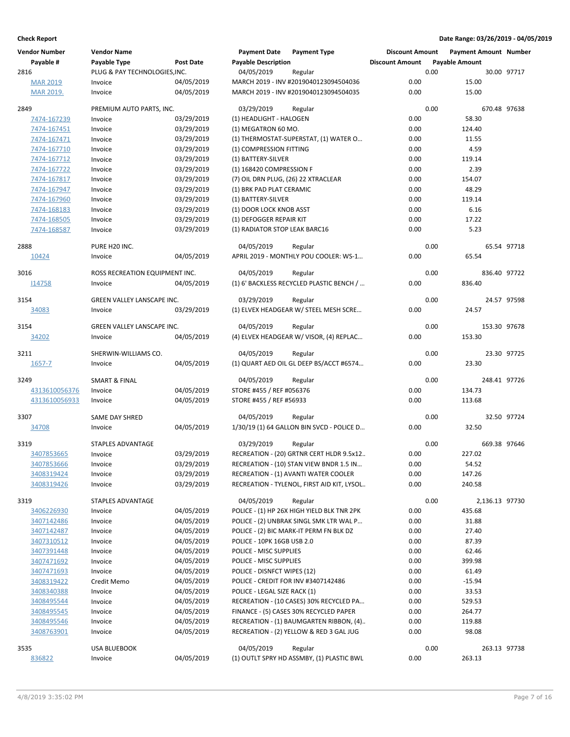| <b>Vendor Number</b> | <b>Vendor Name</b>                |            | <b>Payment Date</b>                 | <b>Payment Type</b>                        | <b>Discount Amount</b> |      | <b>Payment Amount Number</b> |              |
|----------------------|-----------------------------------|------------|-------------------------------------|--------------------------------------------|------------------------|------|------------------------------|--------------|
| Payable #            | Payable Type                      | Post Date  | <b>Payable Description</b>          |                                            | <b>Discount Amount</b> |      | <b>Payable Amount</b>        |              |
| 2816                 | PLUG & PAY TECHNOLOGIES, INC.     |            | 04/05/2019                          | Regular                                    |                        | 0.00 |                              | 30.00 97717  |
| <b>MAR 2019</b>      | Invoice                           | 04/05/2019 |                                     | MARCH 2019 - INV #2019040123094504036      | 0.00                   |      | 15.00                        |              |
| MAR 2019.            | Invoice                           | 04/05/2019 |                                     | MARCH 2019 - INV #2019040123094504035      | 0.00                   |      | 15.00                        |              |
|                      |                                   |            |                                     |                                            |                        |      |                              |              |
| 2849                 | PREMIUM AUTO PARTS, INC.          |            | 03/29/2019                          | Regular                                    | 0.00                   | 0.00 | 58.30                        | 670.48 97638 |
| 7474-167239          | Invoice                           | 03/29/2019 | (1) HEADLIGHT - HALOGEN             |                                            |                        |      |                              |              |
| 7474-167451          | Invoice                           | 03/29/2019 | (1) MEGATRON 60 MO.                 |                                            | 0.00                   |      | 124.40                       |              |
| 7474-167471          | Invoice                           | 03/29/2019 |                                     | (1) THERMOSTAT-SUPERSTAT, (1) WATER O      | 0.00                   |      | 11.55                        |              |
| 7474-167710          | Invoice                           | 03/29/2019 | (1) COMPRESSION FITTING             |                                            | 0.00                   |      | 4.59                         |              |
| 7474-167712          | Invoice                           | 03/29/2019 | (1) BATTERY-SILVER                  |                                            | 0.00                   |      | 119.14                       |              |
| 7474-167722          | Invoice                           | 03/29/2019 | (1) 168420 COMPRESSION F            |                                            | 0.00                   |      | 2.39                         |              |
| 7474-167817          | Invoice                           | 03/29/2019 | (7) OIL DRN PLUG, (26) 22 XTRACLEAR |                                            | 0.00                   |      | 154.07                       |              |
| 7474-167947          | Invoice                           | 03/29/2019 | (1) BRK PAD PLAT CERAMIC            |                                            | 0.00                   |      | 48.29                        |              |
| 7474-167960          | Invoice                           | 03/29/2019 | (1) BATTERY-SILVER                  |                                            | 0.00                   |      | 119.14                       |              |
| 7474-168183          | Invoice                           | 03/29/2019 | (1) DOOR LOCK KNOB ASST             |                                            | 0.00                   |      | 6.16                         |              |
| 7474-168505          | Invoice                           | 03/29/2019 | (1) DEFOGGER REPAIR KIT             |                                            | 0.00                   |      | 17.22                        |              |
| 7474-168587          | Invoice                           | 03/29/2019 | (1) RADIATOR STOP LEAK BARC16       |                                            | 0.00                   |      | 5.23                         |              |
|                      |                                   |            |                                     |                                            |                        |      |                              |              |
| 2888                 | PURE H20 INC.                     |            | 04/05/2019                          | Regular                                    |                        | 0.00 |                              | 65.54 97718  |
| 10424                | Invoice                           | 04/05/2019 |                                     | APRIL 2019 - MONTHLY POU COOLER: WS-1      | 0.00                   |      | 65.54                        |              |
| 3016                 | ROSS RECREATION EQUIPMENT INC.    |            | 04/05/2019                          | Regular                                    |                        | 0.00 |                              | 836.40 97722 |
| 114758               | Invoice                           | 04/05/2019 |                                     | (1) 6' BACKLESS RECYCLED PLASTIC BENCH /   | 0.00                   |      | 836.40                       |              |
|                      |                                   |            |                                     |                                            |                        |      |                              |              |
| 3154                 | <b>GREEN VALLEY LANSCAPE INC.</b> |            | 03/29/2019                          | Regular                                    |                        | 0.00 |                              | 24.57 97598  |
| 34083                | Invoice                           | 03/29/2019 |                                     | (1) ELVEX HEADGEAR W/ STEEL MESH SCRE      | 0.00                   |      | 24.57                        |              |
| 3154                 | GREEN VALLEY LANSCAPE INC.        |            | 04/05/2019                          | Regular                                    |                        | 0.00 |                              | 153.30 97678 |
| 34202                | Invoice                           | 04/05/2019 |                                     | (4) ELVEX HEADGEAR W/ VISOR, (4) REPLAC    | 0.00                   |      | 153.30                       |              |
|                      |                                   |            |                                     |                                            |                        |      |                              |              |
| 3211                 | SHERWIN-WILLIAMS CO.              |            | 04/05/2019                          | Regular                                    |                        | 0.00 |                              | 23.30 97725  |
| $1657 - 7$           | Invoice                           | 04/05/2019 |                                     | (1) QUART AED OIL GL DEEP BS/ACCT #6574    | 0.00                   |      | 23.30                        |              |
|                      |                                   |            |                                     |                                            |                        |      |                              |              |
| 3249                 | <b>SMART &amp; FINAL</b>          |            | 04/05/2019                          | Regular                                    |                        | 0.00 |                              | 248.41 97726 |
| 4313610056376        | Invoice                           | 04/05/2019 | STORE #455 / REF #056376            |                                            | 0.00                   |      | 134.73                       |              |
| 4313610056933        | Invoice                           | 04/05/2019 | STORE #455 / REF #56933             |                                            | 0.00                   |      | 113.68                       |              |
| 3307                 | SAME DAY SHRED                    |            | 04/05/2019                          | Regular                                    |                        | 0.00 |                              | 32.50 97724  |
| 34708                | Invoice                           | 04/05/2019 |                                     | 1/30/19 (1) 64 GALLON BIN SVCD - POLICE D  | 0.00                   |      | 32.50                        |              |
|                      |                                   |            |                                     |                                            |                        |      |                              |              |
| 3319                 | STAPLES ADVANTAGE                 |            | 03/29/2019                          | Regular                                    |                        | 0.00 |                              | 669.38 97646 |
| 3407853665           | Invoice                           | 03/29/2019 |                                     | RECREATION - (20) GRTNR CERT HLDR 9.5x12   | 0.00                   |      | 227.02                       |              |
| 3407853666           | Invoice                           | 03/29/2019 |                                     | RECREATION - (10) STAN VIEW BNDR 1.5 IN    | 0.00                   |      | 54.52                        |              |
| 3408319424           | Invoice                           | 03/29/2019 |                                     | RECREATION - (1) AVANTI WATER COOLER       | 0.00                   |      | 147.26                       |              |
| 3408319426           | Invoice                           | 03/29/2019 |                                     | RECREATION - TYLENOL, FIRST AID KIT, LYSOL | 0.00                   |      | 240.58                       |              |
|                      |                                   |            |                                     |                                            |                        |      |                              |              |
| 3319                 | STAPLES ADVANTAGE                 |            | 04/05/2019                          | Regular                                    |                        | 0.00 | 2,136.13 97730               |              |
| 3406226930           | Invoice                           | 04/05/2019 |                                     | POLICE - (1) HP 26X HIGH YIELD BLK TNR 2PK | 0.00                   |      | 435.68                       |              |
| 3407142486           | Invoice                           | 04/05/2019 |                                     | POLICE - (2) UNBRAK SINGL SMK LTR WAL P    | 0.00                   |      | 31.88                        |              |
| 3407142487           | Invoice                           | 04/05/2019 |                                     | POLICE - (2) BIC MARK-IT PERM FN BLK DZ    | 0.00                   |      | 27.40                        |              |
| 3407310512           | Invoice                           | 04/05/2019 | POLICE - 10PK 16GB USB 2.0          |                                            | 0.00                   |      | 87.39                        |              |
| 3407391448           | Invoice                           | 04/05/2019 | POLICE - MISC SUPPLIES              |                                            | 0.00                   |      | 62.46                        |              |
| 3407471692           | Invoice                           | 04/05/2019 | POLICE - MISC SUPPLIES              |                                            | 0.00                   |      | 399.98                       |              |
| 3407471693           | Invoice                           | 04/05/2019 | POLICE - DISNFCT WIPES (12)         |                                            | 0.00                   |      | 61.49                        |              |
| 3408319422           | Credit Memo                       | 04/05/2019 |                                     | POLICE - CREDIT FOR INV #3407142486        | 0.00                   |      | $-15.94$                     |              |
| 3408340388           | Invoice                           | 04/05/2019 | POLICE - LEGAL SIZE RACK (1)        |                                            | 0.00                   |      | 33.53                        |              |
| 3408495544           | Invoice                           | 04/05/2019 |                                     | RECREATION - (10 CASES) 30% RECYCLED PA    | 0.00                   |      | 529.53                       |              |
| 3408495545           | Invoice                           | 04/05/2019 |                                     | FINANCE - (5) CASES 30% RECYCLED PAPER     | 0.00                   |      | 264.77                       |              |
| 3408495546           | Invoice                           | 04/05/2019 |                                     | RECREATION - (1) BAUMGARTEN RIBBON, (4)    | 0.00                   |      | 119.88                       |              |
| 3408763901           | Invoice                           | 04/05/2019 |                                     | RECREATION - (2) YELLOW & RED 3 GAL JUG    | 0.00                   |      | 98.08                        |              |
|                      |                                   |            |                                     |                                            |                        |      |                              |              |
| 3535                 | <b>USA BLUEBOOK</b>               |            | 04/05/2019                          | Regular                                    |                        | 0.00 |                              | 263.13 97738 |
| 836822               | Invoice                           | 04/05/2019 |                                     | (1) OUTLT SPRY HD ASSMBY, (1) PLASTIC BWL  | 0.00                   |      | 263.13                       |              |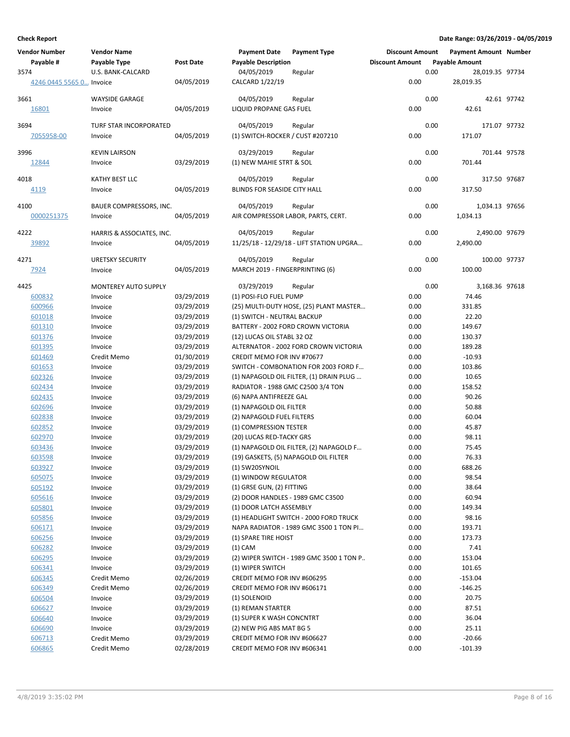| Vendor Number            | <b>Vendor Name</b>          |                          | <b>Payment Date</b>                | <b>Payment Type</b>                      | <b>Discount Amount</b> |      | <b>Payment Amount Number</b> |             |
|--------------------------|-----------------------------|--------------------------|------------------------------------|------------------------------------------|------------------------|------|------------------------------|-------------|
| Payable #                | <b>Payable Type</b>         | <b>Post Date</b>         | <b>Payable Description</b>         |                                          | <b>Discount Amount</b> |      | <b>Payable Amount</b>        |             |
| 3574                     | U.S. BANK-CALCARD           |                          | 04/05/2019                         | Regular                                  |                        | 0.00 | 28,019.35 97734              |             |
| 4246 0445 5565 0 Invoice |                             | 04/05/2019               | CALCARD 1/22/19                    |                                          | 0.00                   |      | 28,019.35                    |             |
|                          |                             |                          |                                    |                                          |                        |      |                              |             |
| 3661                     | <b>WAYSIDE GARAGE</b>       |                          | 04/05/2019                         | Regular                                  |                        | 0.00 |                              | 42.61 97742 |
| 16801                    | Invoice                     | 04/05/2019               | LIQUID PROPANE GAS FUEL            |                                          | 0.00                   |      | 42.61                        |             |
|                          |                             |                          |                                    |                                          |                        |      |                              |             |
| 3694                     | TURF STAR INCORPORATED      |                          | 04/05/2019                         | Regular                                  |                        | 0.00 | 171.07 97732                 |             |
| 7055958-00               | Invoice                     | 04/05/2019               | (1) SWITCH-ROCKER / CUST #207210   |                                          | 0.00                   |      | 171.07                       |             |
| 3996                     | <b>KEVIN LAIRSON</b>        |                          | 03/29/2019                         | Regular                                  |                        | 0.00 | 701.44 97578                 |             |
| 12844                    | Invoice                     | 03/29/2019               | (1) NEW MAHIE STRT & SOL           |                                          | 0.00                   |      | 701.44                       |             |
|                          |                             |                          |                                    |                                          |                        |      |                              |             |
| 4018                     | KATHY BEST LLC              |                          | 04/05/2019                         | Regular                                  |                        | 0.00 | 317.50 97687                 |             |
| 4119                     | Invoice                     | 04/05/2019               | BLINDS FOR SEASIDE CITY HALL       |                                          | 0.00                   |      | 317.50                       |             |
|                          |                             |                          |                                    |                                          |                        |      |                              |             |
| 4100                     | BAUER COMPRESSORS, INC.     |                          | 04/05/2019                         | Regular                                  |                        | 0.00 | 1,034.13 97656               |             |
| 0000251375               | Invoice                     | 04/05/2019               | AIR COMPRESSOR LABOR, PARTS, CERT. |                                          | 0.00                   |      | 1,034.13                     |             |
|                          |                             |                          |                                    |                                          |                        |      |                              |             |
| 4222                     | HARRIS & ASSOCIATES, INC.   |                          | 04/05/2019                         | Regular                                  |                        | 0.00 | 2,490.00 97679               |             |
| 39892                    | Invoice                     | 04/05/2019               |                                    | 11/25/18 - 12/29/18 - LIFT STATION UPGRA | 0.00                   |      | 2,490.00                     |             |
| 4271                     | <b>URETSKY SECURITY</b>     |                          | 04/05/2019                         | Regular                                  |                        | 0.00 | 100.00 97737                 |             |
| 7924                     | Invoice                     | 04/05/2019               | MARCH 2019 - FINGERPRINTING (6)    |                                          | 0.00                   |      | 100.00                       |             |
|                          |                             |                          |                                    |                                          |                        |      |                              |             |
| 4425                     | <b>MONTEREY AUTO SUPPLY</b> |                          | 03/29/2019                         | Regular                                  |                        | 0.00 | 3,168.36 97618               |             |
| 600832                   | Invoice                     | 03/29/2019               | (1) POSI-FLO FUEL PUMP             |                                          | 0.00                   |      | 74.46                        |             |
| 600966                   | Invoice                     | 03/29/2019               |                                    | (25) MULTI-DUTY HOSE, (25) PLANT MASTER  | 0.00                   |      | 331.85                       |             |
| 601018                   | Invoice                     | 03/29/2019               | (1) SWITCH - NEUTRAL BACKUP        |                                          | 0.00                   |      | 22.20                        |             |
| 601310                   | Invoice                     | 03/29/2019               |                                    | BATTERY - 2002 FORD CROWN VICTORIA       | 0.00                   |      | 149.67                       |             |
| 601376                   | Invoice                     | 03/29/2019               | (12) LUCAS OIL STABL 32 OZ         |                                          | 0.00                   |      | 130.37                       |             |
| 601395                   | Invoice                     | 03/29/2019               |                                    | ALTERNATOR - 2002 FORD CROWN VICTORIA    | 0.00                   |      | 189.28                       |             |
| 601469                   | Credit Memo                 | 01/30/2019               | CREDIT MEMO FOR INV #70677         |                                          | 0.00                   |      | $-10.93$                     |             |
| 601653                   | Invoice                     | 03/29/2019               |                                    | SWITCH - COMBONATION FOR 2003 FORD F     | 0.00                   |      | 103.86                       |             |
| 602326                   | Invoice                     | 03/29/2019               |                                    | (1) NAPAGOLD OIL FILTER, (1) DRAIN PLUG  | 0.00                   |      | 10.65                        |             |
| 602434                   | Invoice                     | 03/29/2019               | RADIATOR - 1988 GMC C2500 3/4 TON  |                                          | 0.00                   |      | 158.52                       |             |
| 602435                   | Invoice                     | 03/29/2019               | (6) NAPA ANTIFREEZE GAL            |                                          | 0.00                   |      | 90.26                        |             |
| 602696                   | Invoice                     | 03/29/2019               | (1) NAPAGOLD OIL FILTER            |                                          | 0.00                   |      | 50.88                        |             |
|                          |                             |                          |                                    |                                          | 0.00                   |      | 60.04                        |             |
| 602838                   | Invoice                     | 03/29/2019<br>03/29/2019 | (2) NAPAGOLD FUEL FILTERS          |                                          |                        |      |                              |             |
| 602852                   | Invoice                     |                          | (1) COMPRESSION TESTER             |                                          | 0.00                   |      | 45.87                        |             |
| 602970                   | Invoice                     | 03/29/2019               | (20) LUCAS RED-TACKY GRS           |                                          | 0.00                   |      | 98.11                        |             |
| 603436                   | Invoice                     | 03/29/2019               |                                    | (1) NAPAGOLD OIL FILTER, (2) NAPAGOLD F  | 0.00                   |      | 75.45                        |             |
| 603598                   | Invoice                     | 03/29/2019               |                                    | (19) GASKETS, (5) NAPAGOLD OIL FILTER    | 0.00                   |      | 76.33                        |             |
| 603927                   | Invoice                     | 03/29/2019               | (1) 5W20SYNOIL                     |                                          | 0.00                   |      | 688.26                       |             |
| 605075                   | Invoice                     | 03/29/2019               | (1) WINDOW REGULATOR               |                                          | 0.00                   |      | 98.54                        |             |
| 605192                   | Invoice                     | 03/29/2019               | (1) GRSE GUN, (2) FITTING          |                                          | 0.00                   |      | 38.64                        |             |
| 605616                   | Invoice                     | 03/29/2019               | (2) DOOR HANDLES - 1989 GMC C3500  |                                          | 0.00                   |      | 60.94                        |             |
| 605801                   | Invoice                     | 03/29/2019               | (1) DOOR LATCH ASSEMBLY            |                                          | 0.00                   |      | 149.34                       |             |
| 605856                   | Invoice                     | 03/29/2019               |                                    | (1) HEADLIGHT SWITCH - 2000 FORD TRUCK   | 0.00                   |      | 98.16                        |             |
| 606171                   | Invoice                     | 03/29/2019               |                                    | NAPA RADIATOR - 1989 GMC 3500 1 TON PI   | 0.00                   |      | 193.71                       |             |
| 606256                   | Invoice                     | 03/29/2019               | (1) SPARE TIRE HOIST               |                                          | 0.00                   |      | 173.73                       |             |
| 606282                   | Invoice                     | 03/29/2019               | $(1)$ CAM                          |                                          | 0.00                   |      | 7.41                         |             |
| 606295                   | Invoice                     | 03/29/2019               |                                    | (2) WIPER SWITCH - 1989 GMC 3500 1 TON P | 0.00                   |      | 153.04                       |             |
| 606341                   | Invoice                     | 03/29/2019               | (1) WIPER SWITCH                   |                                          | 0.00                   |      | 101.65                       |             |
| 606345                   | Credit Memo                 | 02/26/2019               | CREDIT MEMO FOR INV #606295        |                                          | 0.00                   |      | $-153.04$                    |             |
| 606349                   | Credit Memo                 | 02/26/2019               | CREDIT MEMO FOR INV #606171        |                                          | 0.00                   |      | $-146.25$                    |             |
| 606504                   | Invoice                     | 03/29/2019               | (1) SOLENOID                       |                                          | 0.00                   |      | 20.75                        |             |
| 606627                   | Invoice                     | 03/29/2019               | (1) REMAN STARTER                  |                                          | 0.00                   |      | 87.51                        |             |
| 606640                   | Invoice                     | 03/29/2019               | (1) SUPER K WASH CONCNTRT          |                                          | 0.00                   |      | 36.04                        |             |
| 606690                   | Invoice                     | 03/29/2019               | (2) NEW PIG ABS MAT BG 5           |                                          | 0.00                   |      | 25.11                        |             |
| 606713                   | Credit Memo                 | 03/29/2019               | CREDIT MEMO FOR INV #606627        |                                          | 0.00                   |      | $-20.66$                     |             |
| 606865                   | Credit Memo                 | 02/28/2019               | CREDIT MEMO FOR INV #606341        |                                          | 0.00                   |      | $-101.39$                    |             |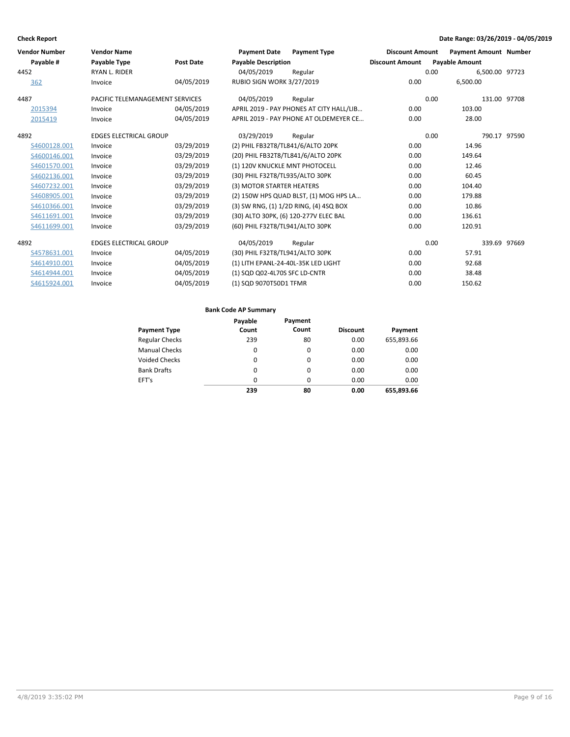| <b>Vendor Number</b> | <b>Vendor Name</b>              |                  | <b>Payment Date</b>                 | <b>Payment Type</b>                      | <b>Discount Amount</b> | <b>Payment Amount Number</b> |              |
|----------------------|---------------------------------|------------------|-------------------------------------|------------------------------------------|------------------------|------------------------------|--------------|
| Payable #            | Payable Type                    | <b>Post Date</b> | <b>Payable Description</b>          |                                          | <b>Discount Amount</b> | <b>Payable Amount</b>        |              |
| 4452                 | <b>RYAN L. RIDER</b>            |                  | 04/05/2019                          | Regular                                  |                        | 0.00<br>6,500.00 97723       |              |
| 362                  | Invoice                         | 04/05/2019       | <b>RUBIO SIGN WORK 3/27/2019</b>    |                                          | 0.00                   | 6,500.00                     |              |
| 4487                 | PACIFIC TELEMANAGEMENT SERVICES |                  | 04/05/2019                          | Regular                                  |                        | 0.00                         | 131.00 97708 |
| 2015394              | Invoice                         | 04/05/2019       |                                     | APRIL 2019 - PAY PHONES AT CITY HALL/LIB | 0.00                   | 103.00                       |              |
| 2015419              | Invoice                         | 04/05/2019       |                                     | APRIL 2019 - PAY PHONE AT OLDEMEYER CE   | 0.00                   | 28.00                        |              |
| 4892                 | <b>EDGES ELECTRICAL GROUP</b>   |                  | 03/29/2019                          | Regular                                  |                        | 0.00                         | 790.17 97590 |
| S4600128.001         | Invoice                         | 03/29/2019       | (2) PHIL FB32T8/TL841/6/ALTO 20PK   |                                          | 0.00                   | 14.96                        |              |
| S4600146.001         | Invoice                         | 03/29/2019       |                                     | (20) PHIL FB32T8/TL841/6/ALTO 20PK       | 0.00                   | 149.64                       |              |
| S4601570.001         | Invoice                         | 03/29/2019       | (1) 120V KNUCKLE MNT PHOTOCELL      |                                          | 0.00                   | 12.46                        |              |
| S4602136.001         | Invoice                         | 03/29/2019       | (30) PHIL F32T8/TL935/ALTO 30PK     |                                          | 0.00                   | 60.45                        |              |
| S4607232.001         | Invoice                         | 03/29/2019       | (3) MOTOR STARTER HEATERS           |                                          | 0.00                   | 104.40                       |              |
| S4608905.001         | Invoice                         | 03/29/2019       |                                     | (2) 150W HPS QUAD BLST, (1) MOG HPS LA   | 0.00                   | 179.88                       |              |
| S4610366.001         | Invoice                         | 03/29/2019       |                                     | (3) SW RNG, (1) 1/2D RING, (4) 4SQ BOX   | 0.00                   | 10.86                        |              |
| S4611691.001         | Invoice                         | 03/29/2019       |                                     | (30) ALTO 30PK, (6) 120-277V ELEC BAL    | 0.00                   | 136.61                       |              |
| S4611699.001         | Invoice                         | 03/29/2019       | (60) PHIL F32T8/TL941/ALTO 30PK     |                                          | 0.00                   | 120.91                       |              |
| 4892                 | <b>EDGES ELECTRICAL GROUP</b>   |                  | 04/05/2019                          | Regular                                  |                        | 0.00                         | 339.69 97669 |
| S4578631.001         | Invoice                         | 04/05/2019       | (30) PHIL F32T8/TL941/ALTO 30PK     |                                          | 0.00                   | 57.91                        |              |
| S4614910.001         | Invoice                         | 04/05/2019       | (1) LITH EPANL-24-40L-35K LED LIGHT |                                          | 0.00                   | 92.68                        |              |
| S4614944.001         | Invoice                         | 04/05/2019       | (1) SQD Q02-4L70S SFC LD-CNTR       |                                          | 0.00                   | 38.48                        |              |
| S4615924.001         | Invoice                         | 04/05/2019       | (1) SQD 9070T50D1 TFMR              |                                          | 0.00                   | 150.62                       |              |

### **Bank Code AP Summary**

|                       | Payable  | Payment  |                 |            |
|-----------------------|----------|----------|-----------------|------------|
| <b>Payment Type</b>   | Count    | Count    | <b>Discount</b> | Payment    |
| <b>Regular Checks</b> | 239      | 80       | 0.00            | 655,893.66 |
| <b>Manual Checks</b>  | $\Omega$ | $\Omega$ | 0.00            | 0.00       |
| <b>Voided Checks</b>  | $\Omega$ | $\Omega$ | 0.00            | 0.00       |
| <b>Bank Drafts</b>    | $\Omega$ | $\Omega$ | 0.00            | 0.00       |
| EFT's                 | $\Omega$ | $\Omega$ | 0.00            | 0.00       |
|                       | 239      | 80       | 0.00            | 655,893.66 |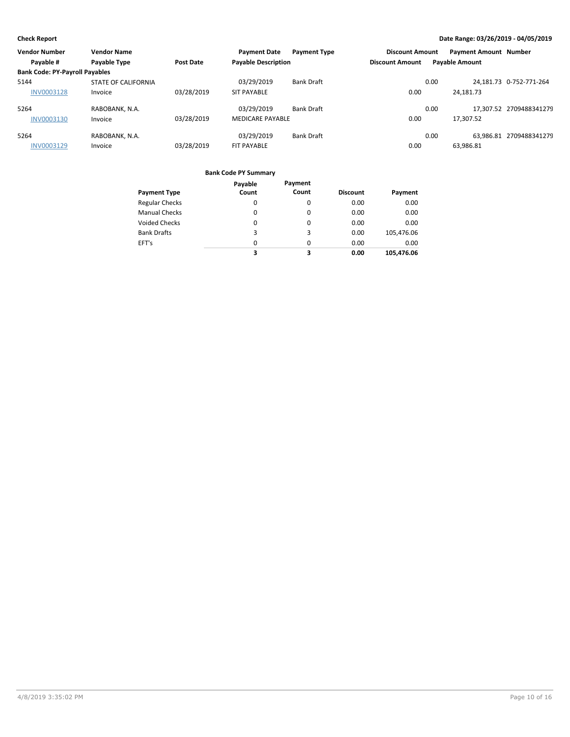| <b>Vendor Number</b>                  | <b>Vendor Name</b>  |            | <b>Payment Date</b>        | <b>Payment Type</b> | <b>Discount Amount</b> |      | <b>Payment Amount Number</b> |                         |
|---------------------------------------|---------------------|------------|----------------------------|---------------------|------------------------|------|------------------------------|-------------------------|
| Payable #                             | Payable Type        | Post Date  | <b>Payable Description</b> |                     | <b>Discount Amount</b> |      | <b>Payable Amount</b>        |                         |
| <b>Bank Code: PY-Payroll Payables</b> |                     |            |                            |                     |                        |      |                              |                         |
| 5144                                  | STATE OF CALIFORNIA |            | 03/29/2019                 | <b>Bank Draft</b>   |                        | 0.00 |                              | 24,181.73 0-752-771-264 |
| <b>INV0003128</b>                     | Invoice             | 03/28/2019 | <b>SIT PAYABLE</b>         |                     | 0.00                   |      | 24,181.73                    |                         |
| 5264                                  | RABOBANK, N.A.      |            | 03/29/2019                 | <b>Bank Draft</b>   |                        | 0.00 |                              | 17.307.52 2709488341279 |
| INV0003130                            | Invoice             | 03/28/2019 | <b>MEDICARE PAYABLE</b>    |                     | 0.00                   |      | 17,307.52                    |                         |
| 5264                                  | RABOBANK, N.A.      |            | 03/29/2019                 | <b>Bank Draft</b>   |                        | 0.00 |                              | 63.986.81 2709488341279 |
| INV0003129                            | Invoice             | 03/28/2019 | FIT PAYABLE                |                     | 0.00                   |      | 63,986.81                    |                         |

### **Bank Code PY Summary**

|                       | Payable | Payment |                 |            |
|-----------------------|---------|---------|-----------------|------------|
| <b>Payment Type</b>   | Count   | Count   | <b>Discount</b> | Payment    |
| <b>Regular Checks</b> | 0       | 0       | 0.00            | 0.00       |
| <b>Manual Checks</b>  | 0       | 0       | 0.00            | 0.00       |
| <b>Voided Checks</b>  | 0       | 0       | 0.00            | 0.00       |
| <b>Bank Drafts</b>    | 3       | 3       | 0.00            | 105,476.06 |
| EFT's                 | 0       | 0       | 0.00            | 0.00       |
|                       | 3       | 3       | 0.00            | 105,476.06 |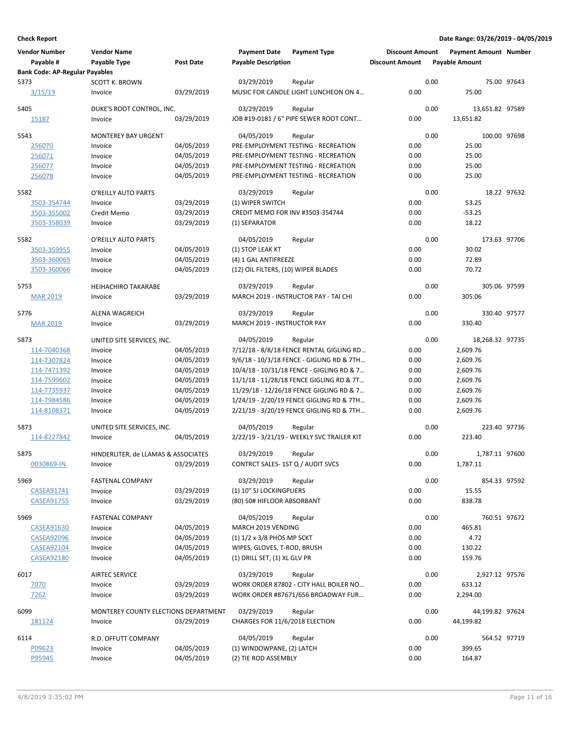| <b>Vendor Number</b><br>Payable #     | <b>Vendor Name</b><br>Payable Type   | <b>Post Date</b> | <b>Payment Date</b><br><b>Payable Description</b> | <b>Payment Type</b>                             | <b>Discount Amount</b><br><b>Discount Amount</b> | <b>Payment Amount Number</b><br><b>Payable Amount</b> |                |
|---------------------------------------|--------------------------------------|------------------|---------------------------------------------------|-------------------------------------------------|--------------------------------------------------|-------------------------------------------------------|----------------|
| <b>Bank Code: AP-Regular Payables</b> |                                      |                  |                                                   |                                                 |                                                  |                                                       |                |
| 5373<br>3/15/19                       | <b>SCOTT K. BROWN</b><br>Invoice     | 03/29/2019       | 03/29/2019                                        | Regular<br>MUSIC FOR CANDLE LIGHT LUNCHEON ON 4 | 0.00                                             | 0.00<br>75.00                                         | 75.00 97643    |
| 5405                                  | DUKE'S ROOT CONTROL, INC.            |                  | 03/29/2019                                        | Regular                                         |                                                  | 0.00<br>13,651.82 97589                               |                |
| 15187                                 | Invoice                              | 03/29/2019       |                                                   | JOB #19-0181 / 6" PIPE SEWER ROOT CONT          | 0.00                                             | 13,651.82                                             |                |
| 5543                                  | <b>MONTEREY BAY URGENT</b>           |                  | 04/05/2019                                        | Regular                                         |                                                  | 0.00                                                  | 100.00 97698   |
| 256070                                | Invoice                              | 04/05/2019       |                                                   | PRE-EMPLOYMENT TESTING - RECREATION             | 0.00                                             | 25.00                                                 |                |
| 256071                                | Invoice                              | 04/05/2019       |                                                   | PRE-EMPLOYMENT TESTING - RECREATION             | 0.00                                             | 25.00                                                 |                |
| 256077                                | Invoice                              | 04/05/2019       |                                                   | PRE-EMPLOYMENT TESTING - RECREATION             | 0.00                                             | 25.00                                                 |                |
| 256078                                | Invoice                              | 04/05/2019       |                                                   | PRE-EMPLOYMENT TESTING - RECREATION             | 0.00                                             | 25.00                                                 |                |
| 5582                                  | O'REILLY AUTO PARTS                  |                  | 03/29/2019                                        | Regular                                         |                                                  | 0.00                                                  | 18.22 97632    |
| 3503-354744                           | Invoice                              | 03/29/2019       | (1) WIPER SWITCH                                  |                                                 | 0.00                                             | 53.25                                                 |                |
| 3503-355002                           | Credit Memo                          | 03/29/2019       | CREDIT MEMO FOR INV #3503-354744                  |                                                 | 0.00                                             | $-53.25$                                              |                |
| 3503-358039                           | Invoice                              | 03/29/2019       | (1) SEPARATOR                                     |                                                 | 0.00                                             | 18.22                                                 |                |
|                                       |                                      |                  |                                                   |                                                 |                                                  |                                                       |                |
| 5582                                  | O'REILLY AUTO PARTS                  |                  | 04/05/2019                                        | Regular                                         |                                                  | 0.00                                                  | 173.63 97706   |
| 3503-359955                           | Invoice                              | 04/05/2019       | (1) STOP LEAK KT                                  |                                                 | 0.00                                             | 30.02                                                 |                |
| 3503-360065                           | Invoice                              | 04/05/2019       | (4) 1 GAL ANTIFREEZE                              |                                                 | 0.00                                             | 72.89                                                 |                |
| 3503-360066                           | Invoice                              | 04/05/2019       | (12) OIL FILTERS, (10) WIPER BLADES               |                                                 | 0.00                                             | 70.72                                                 |                |
| 5753                                  | <b>HEIHACHIRO TAKARABE</b>           |                  | 03/29/2019                                        | Regular                                         |                                                  | 0.00                                                  | 305.06 97599   |
| <b>MAR 2019</b>                       | Invoice                              | 03/29/2019       |                                                   | MARCH 2019 - INSTRUCTOR PAY - TAI CHI           | 0.00                                             | 305.06                                                |                |
| 5776                                  | <b>ALENA WAGREICH</b>                |                  | 03/29/2019                                        | Regular                                         |                                                  | 0.00                                                  | 330.40 97577   |
| <b>MAR 2019</b>                       | Invoice                              | 03/29/2019       | MARCH 2019 - INSTRUCTOR PAY                       |                                                 | 0.00                                             | 330.40                                                |                |
| 5873                                  | UNITED SITE SERVICES, INC.           |                  | 04/05/2019                                        | Regular                                         |                                                  | 0.00<br>18,268.32 97735                               |                |
| 114-7040368                           | Invoice                              | 04/05/2019       |                                                   | 7/12/18 - 8/8/18 FENCE RENTAL GIGLING RD        | 0.00                                             | 2,609.76                                              |                |
| 114-7307824                           | Invoice                              | 04/05/2019       |                                                   | 9/6/18 - 10/3/18 FENCE - GIGLING RD & 7TH       | 0.00                                             | 2,609.76                                              |                |
| 114-7471392                           | Invoice                              | 04/05/2019       |                                                   | 10/4/18 - 10/31/18 FENCE - GIGLING RD & 7       | 0.00                                             | 2,609.76                                              |                |
| 114-7599602                           | Invoice                              | 04/05/2019       |                                                   | 11/1/18 - 11/28/18 FENCE GIGLING RD & 7T        | 0.00                                             | 2,609.76                                              |                |
| 114-7735937                           | Invoice                              | 04/05/2019       |                                                   | 11/29/18 - 12/26/18 FENCE GIGLING RD & 7        | 0.00                                             | 2,609.76                                              |                |
| 114-7984586                           | Invoice                              | 04/05/2019       |                                                   | 1/24/19 - 2/20/19 FENCE GIGLING RD & 7TH        | 0.00                                             | 2,609.76                                              |                |
| 114-8108371                           | Invoice                              | 04/05/2019       |                                                   | 2/21/19 - 3/20/19 FENCE GIGLING RD & 7TH        | 0.00                                             | 2,609.76                                              |                |
|                                       |                                      |                  |                                                   |                                                 |                                                  |                                                       |                |
| 5873                                  | UNITED SITE SERVICES, INC.           |                  | 04/05/2019                                        | Regular                                         |                                                  | 0.00                                                  | 223.40 97736   |
| 114-8227842                           | Invoice                              | 04/05/2019       |                                                   | 2/22/19 - 3/21/19 - WEEKLY SVC TRAILER KIT      | 0.00                                             | 223.40                                                |                |
| 5875                                  | HINDERLITER, de LLAMAS & ASSOCIATES  |                  | 03/29/2019                                        | Regular                                         |                                                  | 0.00                                                  | 1,787.11 97600 |
| 0030869-IN                            | Invoice                              | 03/29/2019       | CONTRCT SALES-1ST Q / AUDIT SVCS                  |                                                 | 0.00                                             | 1,787.11                                              |                |
| 5969                                  | <b>FASTENAL COMPANY</b>              |                  | 03/29/2019                                        | Regular                                         |                                                  | 0.00                                                  | 854.33 97592   |
| CASEA91741                            | Invoice                              | 03/29/2019       | (1) 10" SJ LOCKINGPLIERS                          |                                                 | 0.00                                             | 15.55                                                 |                |
| <b>CASEA91755</b>                     | Invoice                              | 03/29/2019       | (80) 50# HIFLOOR ABSORBANT                        |                                                 | 0.00                                             | 838.78                                                |                |
| 5969                                  | <b>FASTENAL COMPANY</b>              |                  | 04/05/2019                                        | Regular                                         |                                                  | 0.00                                                  | 760.51 97672   |
| <b>CASEA91630</b>                     | Invoice                              | 04/05/2019       | MARCH 2019 VENDING                                |                                                 | 0.00                                             | 465.81                                                |                |
| <b>CASEA92096</b>                     | Invoice                              | 04/05/2019       | $(1)$ 1/2 x 3/8 PHOS MP SCKT                      |                                                 | 0.00                                             | 4.72                                                  |                |
| <b>CASEA92104</b>                     | Invoice                              | 04/05/2019       | WIPES, GLOVES, T-ROD, BRUSH                       |                                                 | 0.00                                             | 130.22                                                |                |
| <b>CASEA92180</b>                     | Invoice                              | 04/05/2019       | (1) DRILL SET, (1) XL GLV PR                      |                                                 | 0.00                                             | 159.76                                                |                |
|                                       |                                      |                  |                                                   |                                                 |                                                  |                                                       |                |
| 6017                                  | <b>AIRTEC SERVICE</b>                |                  | 03/29/2019                                        | Regular                                         |                                                  | 0.00                                                  | 2,927.12 97576 |
| 7070                                  | Invoice                              | 03/29/2019       |                                                   | WORK ORDER 87802 - CITY HALL BOILER NO          | 0.00                                             | 633.12                                                |                |
| 7262                                  | Invoice                              | 03/29/2019       |                                                   | WORK ORDER #87671/656 BROADWAY FUR              | 0.00                                             | 2,294.00                                              |                |
| 6099                                  | MONTEREY COUNTY ELECTIONS DEPARTMENT |                  | 03/29/2019                                        | Regular                                         |                                                  | 0.00<br>44,199.82 97624                               |                |
| 181124                                | Invoice                              | 03/29/2019       | CHARGES FOR 11/6/2018 ELECTION                    |                                                 | 0.00                                             | 44,199.82                                             |                |
| 6114                                  | R.D. OFFUTT COMPANY                  |                  | 04/05/2019                                        | Regular                                         |                                                  | 0.00                                                  | 564.52 97719   |
| P09623                                | Invoice                              | 04/05/2019       | (1) WINDOWPANE, (2) LATCH                         |                                                 | 0.00                                             | 399.65                                                |                |
| P95945                                | Invoice                              | 04/05/2019       | (2) TIE ROD ASSEMBLY                              |                                                 | 0.00                                             | 164.87                                                |                |
|                                       |                                      |                  |                                                   |                                                 |                                                  |                                                       |                |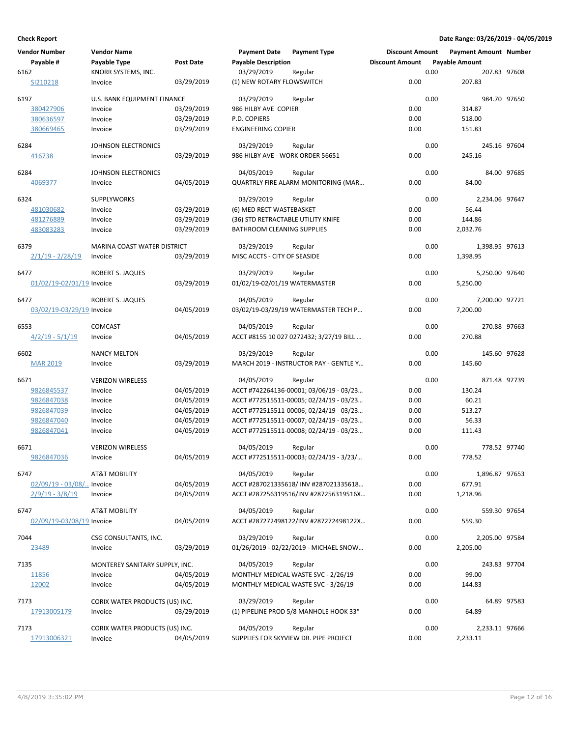| <b>Vendor Number</b>        | <b>Vendor Name</b>                 |                  | <b>Payment Date</b>                | <b>Payment Type</b>                     | <b>Discount Amount</b> |      | <b>Payment Amount Number</b> |              |
|-----------------------------|------------------------------------|------------------|------------------------------------|-----------------------------------------|------------------------|------|------------------------------|--------------|
| Payable #                   | Payable Type                       | <b>Post Date</b> | <b>Payable Description</b>         |                                         | <b>Discount Amount</b> |      | <b>Payable Amount</b>        |              |
| 6162                        | KNORR SYSTEMS, INC.                |                  | 03/29/2019                         | Regular                                 |                        | 0.00 |                              | 207.83 97608 |
| SI210218                    | Invoice                            | 03/29/2019       | (1) NEW ROTARY FLOWSWITCH          |                                         | 0.00                   |      | 207.83                       |              |
| 6197                        | <b>U.S. BANK EQUIPMENT FINANCE</b> |                  | 03/29/2019                         | Regular                                 |                        | 0.00 |                              | 984.70 97650 |
| 380427906                   | Invoice                            | 03/29/2019       | 986 HILBY AVE COPIER               |                                         | 0.00                   |      | 314.87                       |              |
| 380636597                   | Invoice                            | 03/29/2019       | P.D. COPIERS                       |                                         | 0.00                   |      | 518.00                       |              |
| 380669465                   | Invoice                            | 03/29/2019       | <b>ENGINEERING COPIER</b>          |                                         | 0.00                   |      | 151.83                       |              |
| 6284                        | JOHNSON ELECTRONICS                |                  | 03/29/2019                         | Regular                                 |                        | 0.00 |                              | 245.16 97604 |
| 416738                      | Invoice                            | 03/29/2019       | 986 HILBY AVE - WORK ORDER 56651   |                                         | 0.00                   |      | 245.16                       |              |
| 6284                        | <b>JOHNSON ELECTRONICS</b>         |                  | 04/05/2019                         | Regular                                 |                        | 0.00 |                              | 84.00 97685  |
| 4069377                     | Invoice                            | 04/05/2019       |                                    | QUARTRLY FIRE ALARM MONITORING (MAR     | 0.00                   |      | 84.00                        |              |
| 6324                        | <b>SUPPLYWORKS</b>                 |                  | 03/29/2019                         | Regular                                 |                        | 0.00 | 2,234.06 97647               |              |
| 481030682                   | Invoice                            | 03/29/2019       | (6) MED RECT WASTEBASKET           |                                         | 0.00                   |      | 56.44                        |              |
| 481276889                   | Invoice                            | 03/29/2019       | (36) STD RETRACTABLE UTILITY KNIFE |                                         | 0.00                   |      | 144.86                       |              |
| 483083283                   | Invoice                            | 03/29/2019       | <b>BATHROOM CLEANING SUPPLIES</b>  |                                         | 0.00                   |      | 2,032.76                     |              |
| 6379                        | MARINA COAST WATER DISTRICT        |                  | 03/29/2019                         | Regular                                 |                        | 0.00 | 1,398.95 97613               |              |
| <u>2/1/19 - 2/28/19</u>     | Invoice                            | 03/29/2019       | MISC ACCTS - CITY OF SEASIDE       |                                         | 0.00                   |      | 1,398.95                     |              |
| 6477                        | ROBERT S. JAQUES                   |                  | 03/29/2019                         | Regular                                 |                        | 0.00 | 5,250.00 97640               |              |
| 01/02/19-02/01/19 Invoice   |                                    | 03/29/2019       | 01/02/19-02/01/19 WATERMASTER      |                                         | 0.00                   |      | 5,250.00                     |              |
| 6477                        | ROBERT S. JAQUES                   |                  | 04/05/2019                         | Regular                                 |                        | 0.00 | 7,200.00 97721               |              |
| 03/02/19-03/29/19 Invoice   |                                    | 04/05/2019       |                                    | 03/02/19-03/29/19 WATERMASTER TECH P    | 0.00                   |      | 7,200.00                     |              |
| 6553                        | <b>COMCAST</b>                     |                  | 04/05/2019                         | Regular                                 |                        | 0.00 |                              | 270.88 97663 |
| $4/2/19 - 5/1/19$           | Invoice                            | 04/05/2019       |                                    | ACCT #8155 10 027 0272432; 3/27/19 BILL | 0.00                   |      | 270.88                       |              |
| 6602                        | <b>NANCY MELTON</b>                |                  | 03/29/2019                         | Regular                                 |                        | 0.00 |                              | 145.60 97628 |
| <b>MAR 2019</b>             | Invoice                            | 03/29/2019       |                                    | MARCH 2019 - INSTRUCTOR PAY - GENTLE Y  | 0.00                   |      | 145.60                       |              |
|                             |                                    |                  |                                    |                                         |                        |      |                              |              |
| 6671                        | <b>VERIZON WIRELESS</b>            |                  | 04/05/2019                         | Regular                                 | 0.00                   | 0.00 | 130.24                       | 871.48 97739 |
| 9826845537                  | Invoice                            | 04/05/2019       |                                    | ACCT #742264136-00001; 03/06/19 - 03/23 |                        |      |                              |              |
| 9826847038                  | Invoice                            | 04/05/2019       |                                    | ACCT #772515511-00005; 02/24/19 - 03/23 | 0.00                   |      | 60.21                        |              |
| 9826847039                  | Invoice                            | 04/05/2019       |                                    | ACCT #772515511-00006; 02/24/19 - 03/23 | 0.00                   |      | 513.27                       |              |
| 9826847040                  | Invoice                            | 04/05/2019       |                                    | ACCT #772515511-00007; 02/24/19 - 03/23 | 0.00                   |      | 56.33                        |              |
| 9826847041                  | Invoice                            | 04/05/2019       |                                    | ACCT #772515511-00008; 02/24/19 - 03/23 | 0.00                   |      | 111.43                       |              |
| 6671                        | <b>VERIZON WIRELESS</b>            |                  | 04/05/2019                         | Regular                                 |                        | 0.00 |                              | 778.52 97740 |
| 9826847036                  | Invoice                            | 04/05/2019       |                                    | ACCT #772515511-00003; 02/24/19 - 3/23/ | 0.00                   |      | 778.52                       |              |
| 6747                        | <b>AT&amp;T MOBILITY</b>           |                  | 04/05/2019                         | Regular                                 |                        | 0.00 | 1,896.87 97653               |              |
| $02/09/19 - 03/08/$ Invoice |                                    | 04/05/2019       |                                    | ACCT #287021335618/ INV #287021335618   | 0.00                   |      | 677.91                       |              |
| $2/9/19 - 3/8/19$           | Invoice                            | 04/05/2019       |                                    | ACCT #287256319516/INV #287256319516X   | 0.00                   |      | 1,218.96                     |              |
| 6747                        | <b>AT&amp;T MOBILITY</b>           |                  | 04/05/2019                         | Regular                                 |                        | 0.00 | 559.30 97654                 |              |
| 02/09/19-03/08/19 Invoice   |                                    | 04/05/2019       |                                    | ACCT #287272498122/INV #287272498122X   | 0.00                   |      | 559.30                       |              |
| 7044                        | CSG CONSULTANTS, INC.              |                  | 03/29/2019                         | Regular                                 |                        | 0.00 | 2,205.00 97584               |              |
| <u>23489</u>                | Invoice                            | 03/29/2019       |                                    | 01/26/2019 - 02/22/2019 - MICHAEL SNOW  | 0.00                   |      | 2,205.00                     |              |
| 7135                        | MONTEREY SANITARY SUPPLY, INC.     |                  | 04/05/2019                         | Regular                                 |                        | 0.00 |                              | 243.83 97704 |
| 11856                       | Invoice                            | 04/05/2019       |                                    | MONTHLY MEDICAL WASTE SVC - 2/26/19     | 0.00                   |      | 99.00                        |              |
| 12002                       | Invoice                            | 04/05/2019       |                                    | MONTHLY MEDICAL WASTE SVC - 3/26/19     | 0.00                   |      | 144.83                       |              |
| 7173                        | CORIX WATER PRODUCTS (US) INC.     |                  | 03/29/2019                         | Regular                                 |                        | 0.00 |                              | 64.89 97583  |
| 17913005179                 | Invoice                            | 03/29/2019       |                                    | (1) PIPELINE PROD 5/8 MANHOLE HOOK 33"  | 0.00                   |      | 64.89                        |              |
| 7173                        | CORIX WATER PRODUCTS (US) INC.     |                  | 04/05/2019                         | Regular                                 |                        | 0.00 | 2,233.11 97666               |              |
| 17913006321                 | Invoice                            | 04/05/2019       |                                    | SUPPLIES FOR SKYVIEW DR. PIPE PROJECT   | 0.00                   |      | 2,233.11                     |              |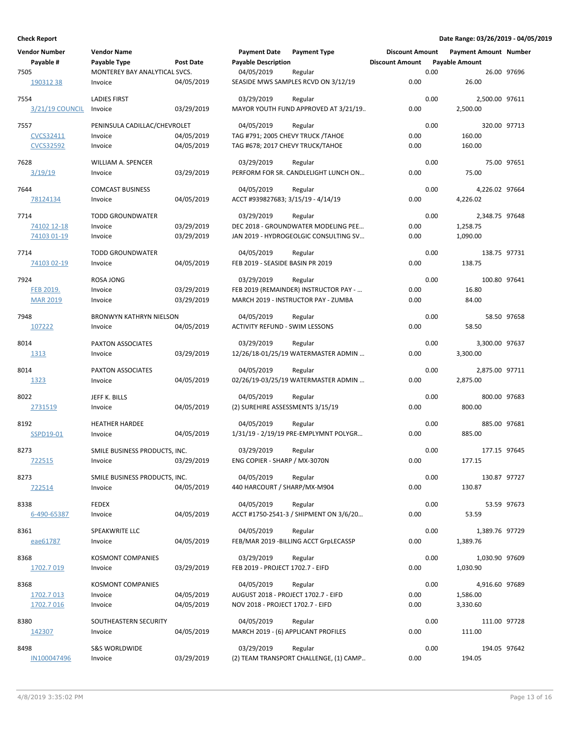| <b>Vendor Number</b> | <b>Vendor Name</b>             |                  | <b>Payment Date</b>                            | <b>Payment Type</b>                    | <b>Discount Amount</b> |      | <b>Payment Amount Number</b> |             |
|----------------------|--------------------------------|------------------|------------------------------------------------|----------------------------------------|------------------------|------|------------------------------|-------------|
| Payable #            | Payable Type                   | <b>Post Date</b> | <b>Payable Description</b>                     |                                        | <b>Discount Amount</b> |      | <b>Payable Amount</b>        |             |
| 7505                 | MONTEREY BAY ANALYTICAL SVCS.  |                  | 04/05/2019                                     | Regular                                |                        | 0.00 |                              | 26.00 97696 |
| 19031238             | Invoice                        | 04/05/2019       |                                                | SEASIDE MWS SAMPLES RCVD ON 3/12/19    | 0.00                   |      | 26.00                        |             |
| 7554                 | <b>LADIES FIRST</b>            |                  | 03/29/2019                                     | Regular                                |                        | 0.00 | 2,500.00 97611               |             |
| 3/21/19 COUNCIL      | Invoice                        | 03/29/2019       |                                                | MAYOR YOUTH FUND APPROVED AT 3/21/19   | 0.00                   |      | 2,500.00                     |             |
| 7557                 | PENINSULA CADILLAC/CHEVROLET   |                  | 04/05/2019                                     | Regular                                |                        | 0.00 | 320.00 97713                 |             |
| CVCS32411            | Invoice                        | 04/05/2019       | TAG #791; 2005 CHEVY TRUCK / TAHOE             |                                        | 0.00                   |      | 160.00                       |             |
| <b>CVCS32592</b>     | Invoice                        | 04/05/2019       | TAG #678; 2017 CHEVY TRUCK/TAHOE               |                                        | 0.00                   |      | 160.00                       |             |
|                      |                                |                  |                                                |                                        |                        |      |                              |             |
| 7628                 | <b>WILLIAM A. SPENCER</b>      |                  | 03/29/2019                                     | Regular                                |                        | 0.00 |                              | 75.00 97651 |
| <u>3/19/19</u>       | Invoice                        | 03/29/2019       |                                                | PERFORM FOR SR. CANDLELIGHT LUNCH ON   | 0.00                   |      | 75.00                        |             |
| 7644                 | <b>COMCAST BUSINESS</b>        |                  | 04/05/2019                                     | Regular                                |                        | 0.00 | 4,226.02 97664               |             |
| 78124134             | Invoice                        | 04/05/2019       | ACCT #939827683; 3/15/19 - 4/14/19             |                                        | 0.00                   |      | 4,226.02                     |             |
| 7714                 | <b>TODD GROUNDWATER</b>        |                  | 03/29/2019                                     | Regular                                |                        | 0.00 | 2,348.75 97648               |             |
| 74102 12-18          | Invoice                        | 03/29/2019       |                                                | DEC 2018 - GROUNDWATER MODELING PEE    | 0.00                   |      | 1,258.75                     |             |
| 74103 01-19          | Invoice                        | 03/29/2019       |                                                | JAN 2019 - HYDROGEOLGIC CONSULTING SV  | 0.00                   |      | 1,090.00                     |             |
|                      |                                |                  |                                                |                                        |                        |      |                              |             |
| 7714                 | <b>TODD GROUNDWATER</b>        |                  | 04/05/2019                                     | Regular                                |                        | 0.00 | 138.75 97731                 |             |
| 74103 02-19          | Invoice                        | 04/05/2019       | FEB 2019 - SEASIDE BASIN PR 2019               |                                        | 0.00                   |      | 138.75                       |             |
| 7924                 | <b>ROSA JONG</b>               |                  | 03/29/2019                                     | Regular                                |                        | 0.00 | 100.80 97641                 |             |
| <b>FEB 2019.</b>     | Invoice                        | 03/29/2019       |                                                | FEB 2019 (REMAINDER) INSTRUCTOR PAY -  | 0.00                   |      | 16.80                        |             |
| <b>MAR 2019</b>      | Invoice                        | 03/29/2019       |                                                | MARCH 2019 - INSTRUCTOR PAY - ZUMBA    | 0.00                   |      | 84.00                        |             |
| 7948                 | <b>BRONWYN KATHRYN NIELSON</b> |                  | 04/05/2019                                     | Regular                                |                        | 0.00 |                              | 58.50 97658 |
| 107222               | Invoice                        | 04/05/2019       | <b>ACTIVITY REFUND - SWIM LESSONS</b>          |                                        | 0.00                   |      | 58.50                        |             |
|                      |                                |                  |                                                |                                        |                        |      |                              |             |
| 8014                 | PAXTON ASSOCIATES              |                  | 03/29/2019                                     | Regular                                |                        | 0.00 | 3,300.00 97637               |             |
| 1313                 | Invoice                        | 03/29/2019       |                                                | 12/26/18-01/25/19 WATERMASTER ADMIN    | 0.00                   |      | 3,300.00                     |             |
| 8014                 | PAXTON ASSOCIATES              |                  | 04/05/2019                                     | Regular                                |                        | 0.00 | 2,875.00 97711               |             |
| 1323                 | Invoice                        | 04/05/2019       |                                                | 02/26/19-03/25/19 WATERMASTER ADMIN    | 0.00                   |      | 2,875.00                     |             |
| 8022                 | JEFF K. BILLS                  |                  |                                                |                                        |                        | 0.00 | 800.00 97683                 |             |
| 2731519              | Invoice                        | 04/05/2019       | 04/05/2019<br>(2) SUREHIRE ASSESSMENTS 3/15/19 | Regular                                | 0.00                   |      | 800.00                       |             |
|                      |                                |                  |                                                |                                        |                        |      |                              |             |
| 8192                 | <b>HEATHER HARDEE</b>          |                  | 04/05/2019                                     | Regular                                |                        | 0.00 | 885.00 97681                 |             |
| SSPD19-01            | Invoice                        | 04/05/2019       |                                                | 1/31/19 - 2/19/19 PRE-EMPLYMNT POLYGR  | 0.00                   |      | 885.00                       |             |
| 8273                 | SMILE BUSINESS PRODUCTS, INC.  |                  | 03/29/2019                                     | Regular                                |                        | 0.00 | 177.15 97645                 |             |
| 722515               | Invoice                        | 03/29/2019       | ENG COPIER - SHARP / MX-3070N                  |                                        | 0.00                   |      | 177.15                       |             |
|                      |                                |                  |                                                |                                        |                        |      |                              |             |
| 8273                 | SMILE BUSINESS PRODUCTS, INC.  |                  | 04/05/2019                                     | Regular                                |                        | 0.00 | 130.87 97727                 |             |
| 722514               | Invoice                        | 04/05/2019       | 440 HARCOURT / SHARP/MX-M904                   |                                        | 0.00                   |      | 130.87                       |             |
| 8338                 | <b>FEDEX</b>                   |                  | 04/05/2019                                     | Regular                                |                        | 0.00 |                              | 53.59 97673 |
| 6-490-65387          | Invoice                        | 04/05/2019       |                                                | ACCT #1750-2541-3 / SHIPMENT ON 3/6/20 | 0.00                   |      | 53.59                        |             |
| 8361                 | SPEAKWRITE LLC                 |                  | 04/05/2019                                     | Regular                                |                        | 0.00 | 1,389.76 97729               |             |
| eae61787             | Invoice                        | 04/05/2019       |                                                | FEB/MAR 2019 - BILLING ACCT GrpLECASSP | 0.00                   |      | 1,389.76                     |             |
|                      |                                |                  |                                                |                                        |                        |      |                              |             |
| 8368                 | <b>KOSMONT COMPANIES</b>       |                  | 03/29/2019                                     | Regular                                |                        | 0.00 | 1,030.90 97609               |             |
| 1702.7 019           | Invoice                        | 03/29/2019       | FEB 2019 - PROJECT 1702.7 - EIFD               |                                        | 0.00                   |      | 1,030.90                     |             |
| 8368                 | KOSMONT COMPANIES              |                  | 04/05/2019                                     | Regular                                |                        | 0.00 | 4,916.60 97689               |             |
| 1702.7 013           | Invoice                        | 04/05/2019       | AUGUST 2018 - PROJECT 1702.7 - EIFD            |                                        | 0.00                   |      | 1,586.00                     |             |
| 1702.7 016           | Invoice                        | 04/05/2019       | NOV 2018 - PROJECT 1702.7 - EIFD               |                                        | 0.00                   |      | 3,330.60                     |             |
|                      |                                |                  |                                                |                                        |                        |      |                              |             |
| 8380                 | SOUTHEASTERN SECURITY          |                  | 04/05/2019                                     | Regular                                |                        | 0.00 | 111.00 97728                 |             |
| 142307               | Invoice                        | 04/05/2019       | MARCH 2019 - (6) APPLICANT PROFILES            |                                        | 0.00                   |      | 111.00                       |             |
| 8498                 | <b>S&amp;S WORLDWIDE</b>       |                  | 03/29/2019                                     | Regular                                |                        | 0.00 | 194.05 97642                 |             |
| IN100047496          | Invoice                        | 03/29/2019       |                                                | (2) TEAM TRANSPORT CHALLENGE, (1) CAMP | 0.00                   |      | 194.05                       |             |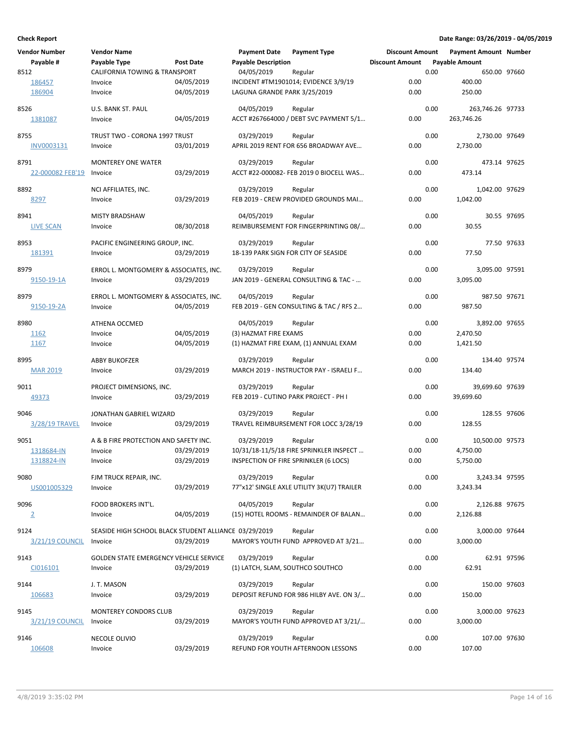| <b>Vendor Number</b> | <b>Vendor Name</b>                                    |                  | <b>Payment Date</b>              | <b>Payment Type</b>                        | <b>Discount Amount</b> |      | Payment Amount Number |             |
|----------------------|-------------------------------------------------------|------------------|----------------------------------|--------------------------------------------|------------------------|------|-----------------------|-------------|
| Payable #            | Payable Type                                          | <b>Post Date</b> | <b>Payable Description</b>       |                                            | <b>Discount Amount</b> |      | <b>Payable Amount</b> |             |
| 8512                 | <b>CALIFORNIA TOWING &amp; TRANSPORT</b>              |                  | 04/05/2019                       | Regular                                    |                        | 0.00 | 650.00 97660          |             |
| 186457               | Invoice                                               | 04/05/2019       |                                  | INCIDENT #TM1901014; EVIDENCE 3/9/19       | 0.00                   |      | 400.00                |             |
| 186904               | Invoice                                               | 04/05/2019       | LAGUNA GRANDE PARK 3/25/2019     |                                            | 0.00                   |      | 250.00                |             |
|                      |                                                       |                  |                                  |                                            |                        |      |                       |             |
| 8526                 | U.S. BANK ST. PAUL                                    |                  | 04/05/2019                       | Regular                                    |                        | 0.00 | 263,746.26 97733      |             |
| 1381087              | Invoice                                               | 04/05/2019       |                                  | ACCT #267664000 / DEBT SVC PAYMENT 5/1     | 0.00                   |      | 263,746.26            |             |
|                      |                                                       |                  |                                  |                                            |                        |      |                       |             |
| 8755                 | TRUST TWO - CORONA 1997 TRUST                         |                  | 03/29/2019                       | Regular                                    |                        | 0.00 | 2,730.00 97649        |             |
| INV0003131           | Invoice                                               | 03/01/2019       |                                  | APRIL 2019 RENT FOR 656 BROADWAY AVE       | 0.00                   |      | 2,730.00              |             |
| 8791                 | <b>MONTEREY ONE WATER</b>                             |                  | 03/29/2019                       | Regular                                    |                        | 0.00 | 473.14 97625          |             |
| 22-000082 FEB'19     | Invoice                                               | 03/29/2019       |                                  | ACCT #22-000082- FEB 2019 0 BIOCELL WAS    | 0.00                   |      | 473.14                |             |
|                      |                                                       |                  |                                  |                                            |                        |      |                       |             |
| 8892                 | NCI AFFILIATES, INC.                                  |                  | 03/29/2019                       | Regular                                    |                        | 0.00 | 1,042.00 97629        |             |
| 8297                 | Invoice                                               | 03/29/2019       |                                  | FEB 2019 - CREW PROVIDED GROUNDS MAI       | 0.00                   |      | 1,042.00              |             |
|                      |                                                       |                  |                                  |                                            |                        |      |                       |             |
| 8941                 | <b>MISTY BRADSHAW</b>                                 |                  | 04/05/2019                       | Regular                                    |                        | 0.00 |                       | 30.55 97695 |
| LIVE SCAN            | Invoice                                               | 08/30/2018       |                                  | REIMBURSEMENT FOR FINGERPRINTING 08/       | 0.00                   |      | 30.55                 |             |
| 8953                 | PACIFIC ENGINEERING GROUP, INC.                       |                  | 03/29/2019                       | Regular                                    |                        | 0.00 |                       | 77.50 97633 |
| 181391               | Invoice                                               | 03/29/2019       |                                  | 18-139 PARK SIGN FOR CITY OF SEASIDE       | 0.00                   |      | 77.50                 |             |
|                      |                                                       |                  |                                  |                                            |                        |      |                       |             |
| 8979                 | ERROL L. MONTGOMERY & ASSOCIATES, INC.                |                  | 03/29/2019                       | Regular                                    |                        | 0.00 | 3,095.00 97591        |             |
| 9150-19-1A           | Invoice                                               | 03/29/2019       |                                  | JAN 2019 - GENERAL CONSULTING & TAC -      | 0.00                   |      | 3,095.00              |             |
|                      |                                                       |                  |                                  |                                            |                        |      |                       |             |
| 8979                 | ERROL L. MONTGOMERY & ASSOCIATES, INC.                |                  | 04/05/2019                       | Regular                                    |                        | 0.00 | 987.50 97671          |             |
| 9150-19-2A           | Invoice                                               | 04/05/2019       |                                  | FEB 2019 - GEN CONSULTING & TAC / RFS 2    | 0.00                   |      | 987.50                |             |
| 8980                 |                                                       |                  |                                  |                                            |                        | 0.00 | 3,892.00 97655        |             |
|                      | <b>ATHENA OCCMED</b>                                  |                  | 04/05/2019                       | Regular                                    | 0.00                   |      |                       |             |
| 1162                 | Invoice                                               | 04/05/2019       | (3) HAZMAT FIRE EXAMS            |                                            |                        |      | 2,470.50              |             |
| 1167                 | Invoice                                               | 04/05/2019       |                                  | (1) HAZMAT FIRE EXAM, (1) ANNUAL EXAM      | 0.00                   |      | 1,421.50              |             |
| 8995                 | <b>ABBY BUKOFZER</b>                                  |                  | 03/29/2019                       | Regular                                    |                        | 0.00 | 134.40 97574          |             |
| <b>MAR 2019</b>      | Invoice                                               | 03/29/2019       |                                  | MARCH 2019 - INSTRUCTOR PAY - ISRAELI F    | 0.00                   |      | 134.40                |             |
|                      |                                                       |                  |                                  |                                            |                        |      |                       |             |
| 9011                 | PROJECT DIMENSIONS, INC.                              |                  | 03/29/2019                       | Regular                                    |                        | 0.00 | 39,699.60 97639       |             |
| 49373                | Invoice                                               | 03/29/2019       |                                  | FEB 2019 - CUTINO PARK PROJECT - PH I      | 0.00                   |      | 39,699.60             |             |
|                      |                                                       |                  |                                  |                                            |                        |      |                       |             |
| 9046                 | JONATHAN GABRIEL WIZARD                               |                  | 03/29/2019                       | Regular                                    |                        | 0.00 | 128.55 97606          |             |
| 3/28/19 TRAVEL       | Invoice                                               | 03/29/2019       |                                  | TRAVEL REIMBURSEMENT FOR LOCC 3/28/19      | 0.00                   |      | 128.55                |             |
| 9051                 | A & B FIRE PROTECTION AND SAFETY INC.                 |                  | 03/29/2019                       | Regular                                    |                        | 0.00 | 10,500.00 97573       |             |
| 1318684-IN           | Invoice                                               | 03/29/2019       |                                  | 10/31/18-11/5/18 FIRE SPRINKLER INSPECT    | 0.00                   |      | 4,750.00              |             |
| 1318824-IN           | Invoice                                               | 03/29/2019       |                                  | INSPECTION OF FIRE SPRINKLER (6 LOCS)      | 0.00                   |      | 5,750.00              |             |
|                      |                                                       |                  |                                  |                                            |                        |      |                       |             |
| 9080                 | FJM TRUCK REPAIR, INC.                                |                  | 03/29/2019                       | Regular                                    |                        | 0.00 | 3,243.34 97595        |             |
| US001005329          | Invoice                                               | 03/29/2019       |                                  | 77"x12' SINGLE AXLE UTILITY 3K(U7) TRAILER | 0.00                   |      | 3,243.34              |             |
|                      |                                                       |                  |                                  |                                            |                        |      |                       |             |
| 9096                 | FOOD BROKERS INT'L.                                   |                  | 04/05/2019                       | Regular                                    |                        | 0.00 | 2,126.88 97675        |             |
| $\overline{2}$       | Invoice                                               | 04/05/2019       |                                  | (15) HOTEL ROOMS - REMAINDER OF BALAN      | 0.00                   |      | 2,126.88              |             |
| 9124                 | SEASIDE HIGH SCHOOL BLACK STUDENT ALLIANCE 03/29/2019 |                  |                                  | Regular                                    |                        | 0.00 | 3,000.00 97644        |             |
| 3/21/19 COUNCIL      | Invoice                                               | 03/29/2019       |                                  | MAYOR'S YOUTH FUND APPROVED AT 3/21        | 0.00                   |      | 3,000.00              |             |
|                      |                                                       |                  |                                  |                                            |                        |      |                       |             |
| 9143                 | <b>GOLDEN STATE EMERGENCY VEHICLE SERVICE</b>         |                  | 03/29/2019                       | Regular                                    |                        | 0.00 |                       | 62.91 97596 |
| CI016101             | Invoice                                               | 03/29/2019       | (1) LATCH, SLAM, SOUTHCO SOUTHCO |                                            | 0.00                   |      | 62.91                 |             |
|                      |                                                       |                  |                                  |                                            |                        |      |                       |             |
| 9144                 | J. T. MASON                                           |                  | 03/29/2019                       | Regular                                    |                        | 0.00 | 150.00 97603          |             |
| 106683               | Invoice                                               | 03/29/2019       |                                  | DEPOSIT REFUND FOR 986 HILBY AVE. ON 3/    | 0.00                   |      | 150.00                |             |
| 9145                 | <b>MONTEREY CONDORS CLUB</b>                          |                  | 03/29/2019                       | Regular                                    |                        | 0.00 | 3,000.00 97623        |             |
| 3/21/19 COUNCIL      | Invoice                                               | 03/29/2019       |                                  | MAYOR'S YOUTH FUND APPROVED AT 3/21/       | 0.00                   |      | 3,000.00              |             |
|                      |                                                       |                  |                                  |                                            |                        |      |                       |             |
| 9146                 | NECOLE OLIVIO                                         |                  | 03/29/2019                       | Regular                                    |                        | 0.00 | 107.00 97630          |             |
| 106608               | Invoice                                               | 03/29/2019       |                                  | REFUND FOR YOUTH AFTERNOON LESSONS         | 0.00                   |      | 107.00                |             |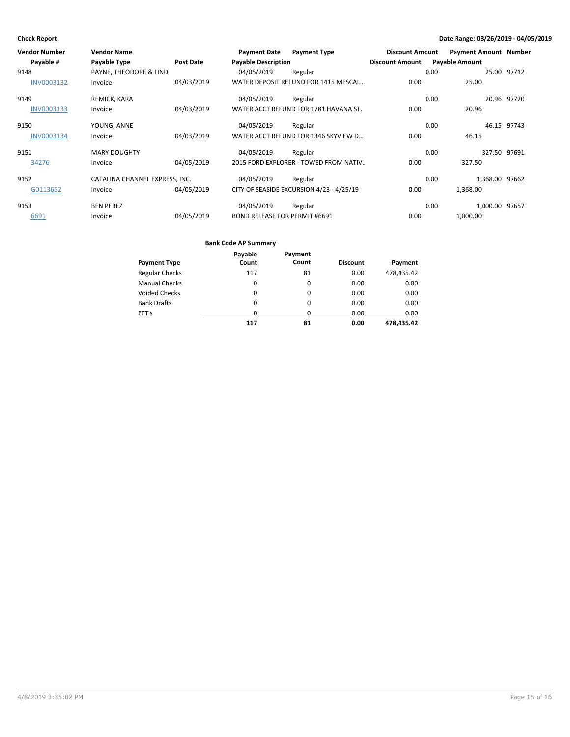| Vendor Number     | <b>Vendor Name</b>             |                  | <b>Payment Date</b>                  | <b>Payment Type</b>                      | <b>Discount Amount</b> | <b>Payment Amount Number</b> |                |
|-------------------|--------------------------------|------------------|--------------------------------------|------------------------------------------|------------------------|------------------------------|----------------|
| Payable #         | Payable Type                   | <b>Post Date</b> | <b>Payable Description</b>           |                                          | <b>Discount Amount</b> | <b>Payable Amount</b>        |                |
| 9148              | PAYNE, THEODORE & LIND         |                  | 04/05/2019                           | Regular                                  |                        | 0.00                         | 25.00 97712    |
| <b>INV0003132</b> | Invoice                        | 04/03/2019       |                                      | WATER DEPOSIT REFUND FOR 1415 MESCAL     | 0.00                   | 25.00                        |                |
| 9149              | REMICK, KARA                   |                  | 04/05/2019                           | Regular                                  |                        | 0.00                         | 20.96 97720    |
| <b>INV0003133</b> | Invoice                        | 04/03/2019       |                                      | WATER ACCT REFUND FOR 1781 HAVANA ST.    | 0.00                   | 20.96                        |                |
| 9150              | YOUNG, ANNE                    |                  | 04/05/2019                           | Regular                                  |                        | 0.00                         | 46.15 97743    |
| <b>INV0003134</b> | Invoice                        | 04/03/2019       |                                      | WATER ACCT REFUND FOR 1346 SKYVIEW D     | 0.00                   | 46.15                        |                |
| 9151              | <b>MARY DOUGHTY</b>            |                  | 04/05/2019                           | Regular                                  |                        | 0.00                         | 327.50 97691   |
| 34276             | Invoice                        | 04/05/2019       |                                      | 2015 FORD EXPLORER - TOWED FROM NATIV    | 0.00                   | 327.50                       |                |
| 9152              | CATALINA CHANNEL EXPRESS, INC. |                  | 04/05/2019                           | Regular                                  |                        | 0.00                         | 1,368.00 97662 |
| G0113652          | Invoice                        | 04/05/2019       |                                      | CITY OF SEASIDE EXCURSION 4/23 - 4/25/19 | 0.00                   | 1,368.00                     |                |
| 9153              | <b>BEN PEREZ</b>               |                  | 04/05/2019                           | Regular                                  |                        | 0.00                         | 1,000.00 97657 |
| 6691              | Invoice                        | 04/05/2019       | <b>BOND RELEASE FOR PERMIT #6691</b> |                                          | 0.00                   | 1,000.00                     |                |

### **Bank Code AP Summary**

|                       | Payable  | Payment  |                 |            |
|-----------------------|----------|----------|-----------------|------------|
| <b>Payment Type</b>   | Count    | Count    | <b>Discount</b> | Payment    |
| <b>Regular Checks</b> | 117      | 81       | 0.00            | 478,435.42 |
| <b>Manual Checks</b>  | 0        | 0        | 0.00            | 0.00       |
| <b>Voided Checks</b>  | 0        | 0        | 0.00            | 0.00       |
| <b>Bank Drafts</b>    | $\Omega$ | $\Omega$ | 0.00            | 0.00       |
| EFT's                 | $\Omega$ | 0        | 0.00            | 0.00       |
|                       | 117      | 81       | 0.00            | 478.435.42 |